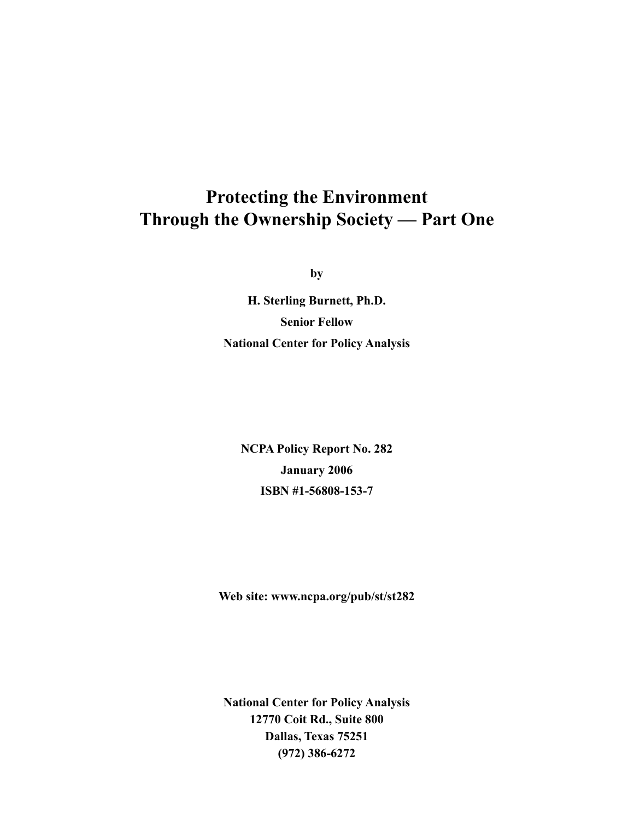**by**

**H. Sterling Burnett, Ph.D. Senior Fellow National Center for Policy Analysis**

**NCPA Policy Report No. 282 January 2006 ISBN #1-56808-153-7** 

**Web site: www.ncpa.org/pub/st/st282**

**National Center for Policy Analysis 12770 Coit Rd., Suite 800 Dallas, Texas 75251 (972) 386-6272**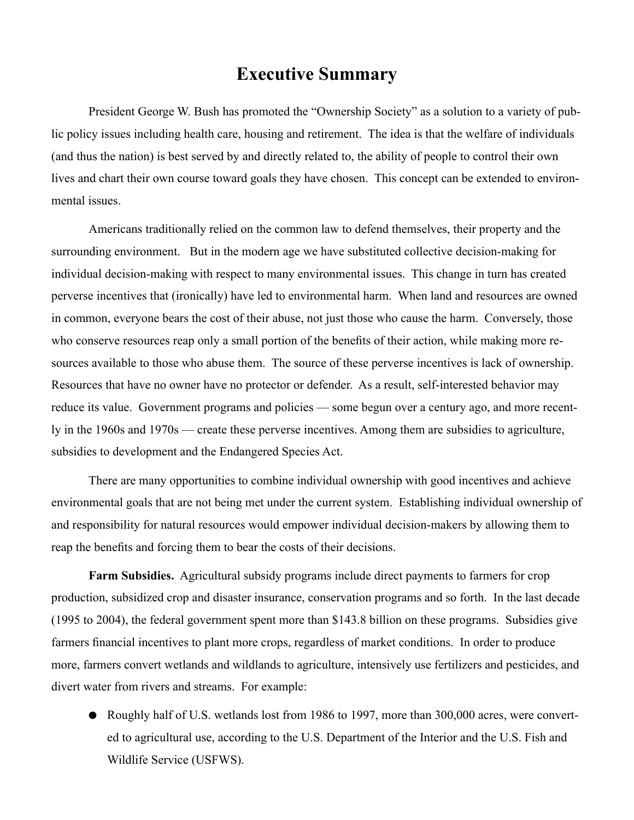### **Executive Summary**

President George W. Bush has promoted the "Ownership Society" as a solution to a variety of public policy issues including health care, housing and retirement. The idea is that the welfare of individuals (and thus the nation) is best served by and directly related to, the ability of people to control their own lives and chart their own course toward goals they have chosen. This concept can be extended to environmental issues.

Americans traditionally relied on the common law to defend themselves, their property and the surrounding environment. But in the modern age we have substituted collective decision-making for individual decision-making with respect to many environmental issues. This change in turn has created perverse incentives that (ironically) have led to environmental harm. When land and resources are owned in common, everyone bears the cost of their abuse, not just those who cause the harm. Conversely, those who conserve resources reap only a small portion of the benefits of their action, while making more resources available to those who abuse them. The source of these perverse incentives is lack of ownership. Resources that have no owner have no protector or defender. As a result, self-interested behavior may reduce its value. Government programs and policies — some begun over a century ago, and more recently in the 1960s and 1970s — create these perverse incentives. Among them are subsidies to agriculture, subsidies to development and the Endangered Species Act.

There are many opportunities to combine individual ownership with good incentives and achieve environmental goals that are not being met under the current system. Establishing individual ownership of and responsibility for natural resources would empower individual decision-makers by allowing them to reap the benefits and forcing them to bear the costs of their decisions.

**Farm Subsidies.** Agricultural subsidy programs include direct payments to farmers for crop production, subsidized crop and disaster insurance, conservation programs and so forth. In the last decade (1995 to 2004), the federal government spent more than \$143.8 billion on these programs. Subsidies give farmers financial incentives to plant more crops, regardless of market conditions. In order to produce more, farmers convert wetlands and wildlands to agriculture, intensively use fertilizers and pesticides, and divert water from rivers and streams. For example:

● Roughly half of U.S. wetlands lost from 1986 to 1997, more than 300,000 acres, were converted to agricultural use, according to the U.S. Department of the Interior and the U.S. Fish and Wildlife Service (USFWS).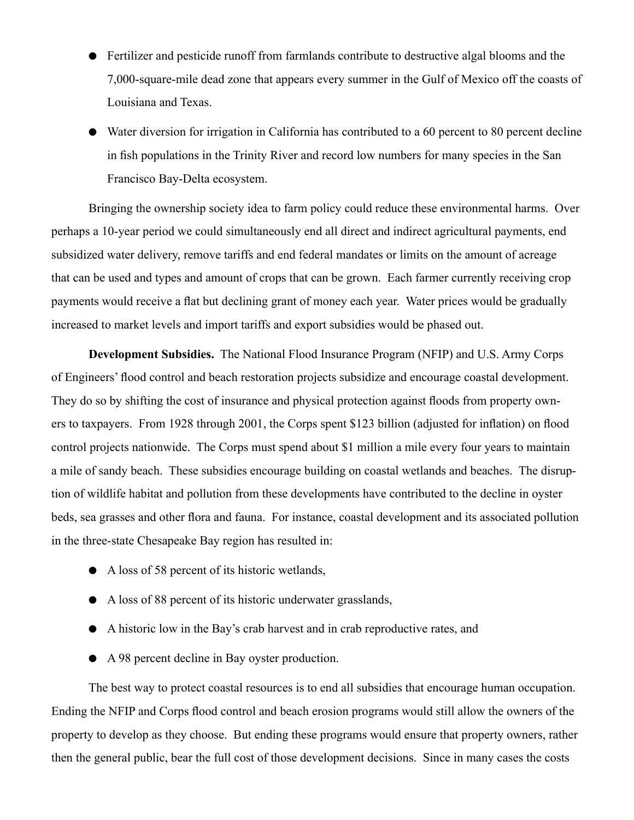- Fertilizer and pesticide runoff from farmlands contribute to destructive algal blooms and the 7,000-square-mile dead zone that appears every summer in the Gulf of Mexico off the coasts of Louisiana and Texas.
- Water diversion for irrigation in California has contributed to a 60 percent to 80 percent decline in fish populations in the Trinity River and record low numbers for many species in the San Francisco Bay-Delta ecosystem.

Bringing the ownership society idea to farm policy could reduce these environmental harms. Over perhaps a 10-year period we could simultaneously end all direct and indirect agricultural payments, end subsidized water delivery, remove tariffs and end federal mandates or limits on the amount of acreage that can be used and types and amount of crops that can be grown. Each farmer currently receiving crop payments would receive a flat but declining grant of money each year. Water prices would be gradually increased to market levels and import tariffs and export subsidies would be phased out.

**Development Subsidies.** The National Flood Insurance Program (NFIP) and U.S. Army Corps of Engineers' flood control and beach restoration projects subsidize and encourage coastal development. They do so by shifting the cost of insurance and physical protection against floods from property owners to taxpayers. From 1928 through 2001, the Corps spent \$123 billion (adjusted for inflation) on flood control projects nationwide. The Corps must spend about \$1 million a mile every four years to maintain a mile of sandy beach. These subsidies encourage building on coastal wetlands and beaches. The disruption of wildlife habitat and pollution from these developments have contributed to the decline in oyster beds, sea grasses and other flora and fauna. For instance, coastal development and its associated pollution in the three-state Chesapeake Bay region has resulted in:

- A loss of 58 percent of its historic wetlands,
- A loss of 88 percent of its historic underwater grasslands,
- A historic low in the Bay's crab harvest and in crab reproductive rates, and
- A 98 percent decline in Bay oyster production.

The best way to protect coastal resources is to end all subsidies that encourage human occupation. Ending the NFIP and Corps flood control and beach erosion programs would still allow the owners of the property to develop as they choose. But ending these programs would ensure that property owners, rather then the general public, bear the full cost of those development decisions. Since in many cases the costs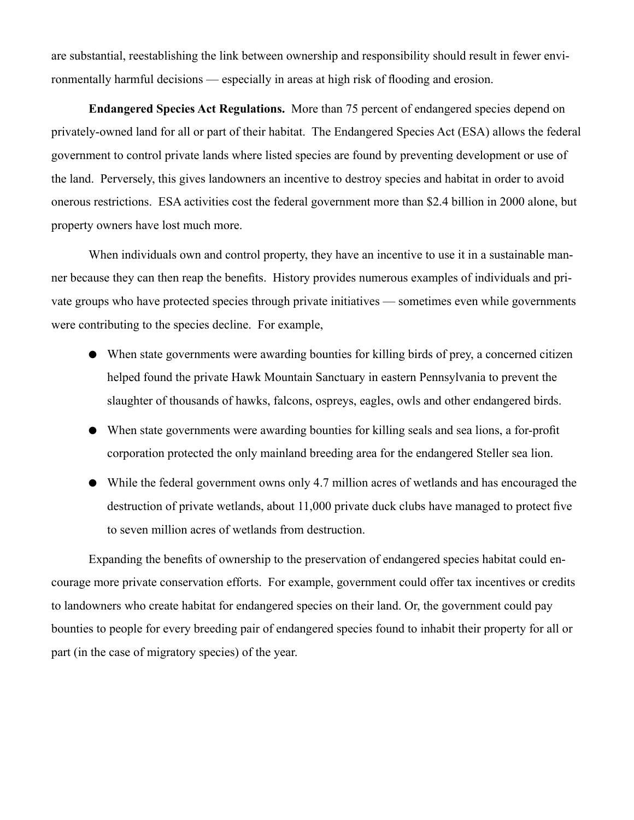are substantial, reestablishing the link between ownership and responsibility should result in fewer environmentally harmful decisions — especially in areas at high risk of flooding and erosion.

**Endangered Species Act Regulations.** More than 75 percent of endangered species depend on privately-owned land for all or part of their habitat. The Endangered Species Act (ESA) allows the federal government to control private lands where listed species are found by preventing development or use of the land. Perversely, this gives landowners an incentive to destroy species and habitat in order to avoid onerous restrictions. ESA activities cost the federal government more than \$2.4 billion in 2000 alone, but property owners have lost much more.

When individuals own and control property, they have an incentive to use it in a sustainable manner because they can then reap the benefits. History provides numerous examples of individuals and private groups who have protected species through private initiatives — sometimes even while governments were contributing to the species decline. For example,

- When state governments were awarding bounties for killing birds of prey, a concerned citizen helped found the private Hawk Mountain Sanctuary in eastern Pennsylvania to prevent the slaughter of thousands of hawks, falcons, ospreys, eagles, owls and other endangered birds.
- When state governments were awarding bounties for killing seals and sea lions, a for-profit corporation protected the only mainland breeding area for the endangered Steller sea lion.
- While the federal government owns only 4.7 million acres of wetlands and has encouraged the destruction of private wetlands, about 11,000 private duck clubs have managed to protect five to seven million acres of wetlands from destruction.

Expanding the benefits of ownership to the preservation of endangered species habitat could encourage more private conservation efforts. For example, government could offer tax incentives or credits to landowners who create habitat for endangered species on their land. Or, the government could pay bounties to people for every breeding pair of endangered species found to inhabit their property for all or part (in the case of migratory species) of the year.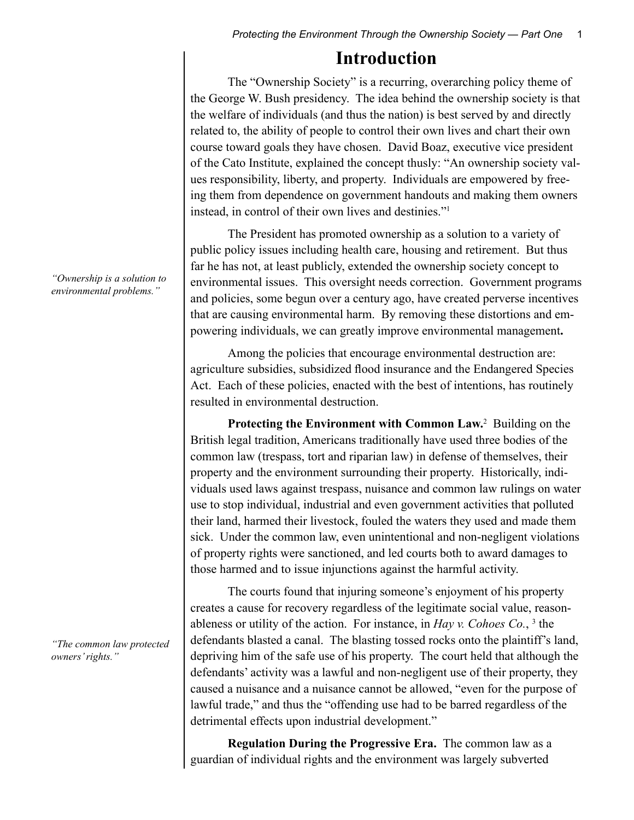### **Introduction**

The "Ownership Society" is a recurring, overarching policy theme of the George W. Bush presidency. The idea behind the ownership society is that the welfare of individuals (and thus the nation) is best served by and directly related to, the ability of people to control their own lives and chart their own course toward goals they have chosen. David Boaz, executive vice president of the Cato Institute, explained the concept thusly: "An ownership society values responsibility, liberty, and property. Individuals are empowered by freeing them from dependence on government handouts and making them owners instead, in control of their own lives and destinies."1

The President has promoted ownership as a solution to a variety of public policy issues including health care, housing and retirement. But thus far he has not, at least publicly, extended the ownership society concept to environmental issues. This oversight needs correction. Government programs and policies, some begun over a century ago, have created perverse incentives that are causing environmental harm. By removing these distortions and empowering individuals, we can greatly improve environmental management**.**

Among the policies that encourage environmental destruction are: agriculture subsidies, subsidized flood insurance and the Endangered Species Act. Each of these policies, enacted with the best of intentions, has routinely resulted in environmental destruction.

Protecting the Environment with Common Law.<sup>2</sup> Building on the British legal tradition, Americans traditionally have used three bodies of the common law (trespass, tort and riparian law) in defense of themselves, their property and the environment surrounding their property. Historically, individuals used laws against trespass, nuisance and common law rulings on water use to stop individual, industrial and even government activities that polluted their land, harmed their livestock, fouled the waters they used and made them sick. Under the common law, even unintentional and non-negligent violations of property rights were sanctioned, and led courts both to award damages to those harmed and to issue injunctions against the harmful activity.

The courts found that injuring someone's enjoyment of his property creates a cause for recovery regardless of the legitimate social value, reasonableness or utility of the action. For instance, in *Hay v. Cohoes Co.*, 3 the defendants blasted a canal. The blasting tossed rocks onto the plaintiff's land, depriving him of the safe use of his property. The court held that although the defendants' activity was a lawful and non-negligent use of their property, they caused a nuisance and a nuisance cannot be allowed, "even for the purpose of lawful trade," and thus the "offending use had to be barred regardless of the detrimental effects upon industrial development."

**Regulation During the Progressive Era.** The common law as a guardian of individual rights and the environment was largely subverted

*"Ownership is a solution to environmental problems."*

*"The common law protected owners' rights."*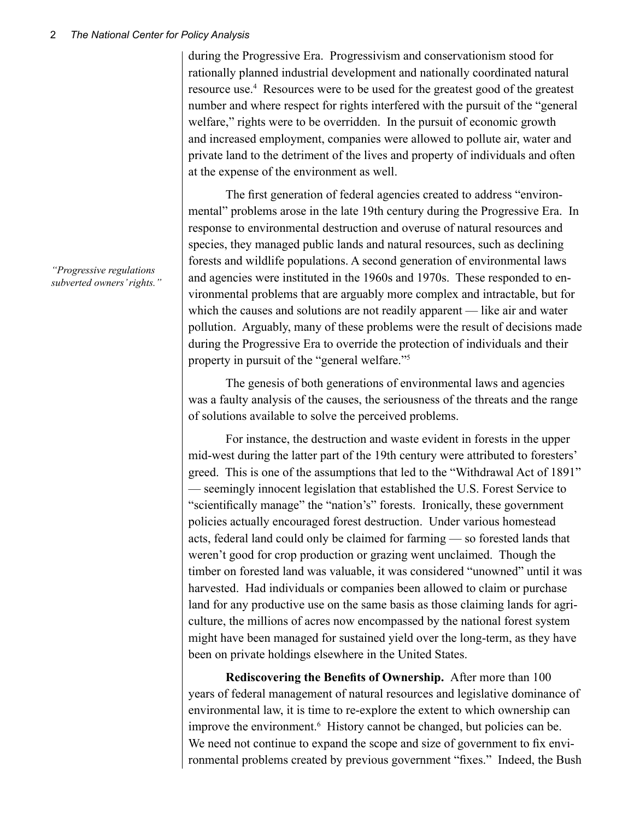during the Progressive Era. Progressivism and conservationism stood for rationally planned industrial development and nationally coordinated natural resource use.<sup>4</sup> Resources were to be used for the greatest good of the greatest number and where respect for rights interfered with the pursuit of the "general welfare," rights were to be overridden. In the pursuit of economic growth and increased employment, companies were allowed to pollute air, water and private land to the detriment of the lives and property of individuals and often at the expense of the environment as well.

The first generation of federal agencies created to address "environmental" problems arose in the late 19th century during the Progressive Era. In response to environmental destruction and overuse of natural resources and species, they managed public lands and natural resources, such as declining forests and wildlife populations. A second generation of environmental laws and agencies were instituted in the 1960s and 1970s. These responded to environmental problems that are arguably more complex and intractable, but for which the causes and solutions are not readily apparent — like air and water pollution. Arguably, many of these problems were the result of decisions made during the Progressive Era to override the protection of individuals and their property in pursuit of the "general welfare."5

The genesis of both generations of environmental laws and agencies was a faulty analysis of the causes, the seriousness of the threats and the range of solutions available to solve the perceived problems.

For instance, the destruction and waste evident in forests in the upper mid-west during the latter part of the 19th century were attributed to foresters' greed. This is one of the assumptions that led to the "Withdrawal Act of 1891" — seemingly innocent legislation that established the U.S. Forest Service to "scientifically manage" the "nation's" forests. Ironically, these government policies actually encouraged forest destruction. Under various homestead acts, federal land could only be claimed for farming — so forested lands that weren't good for crop production or grazing went unclaimed. Though the timber on forested land was valuable, it was considered "unowned" until it was harvested. Had individuals or companies been allowed to claim or purchase land for any productive use on the same basis as those claiming lands for agriculture, the millions of acres now encompassed by the national forest system might have been managed for sustained yield over the long-term, as they have been on private holdings elsewhere in the United States.

**Rediscovering the Benefits of Ownership.** After more than 100 years of federal management of natural resources and legislative dominance of environmental law, it is time to re-explore the extent to which ownership can improve the environment.<sup>6</sup> History cannot be changed, but policies can be. We need not continue to expand the scope and size of government to fix environmental problems created by previous government "fixes." Indeed, the Bush

*"Progressive regulations subverted owners' rights."*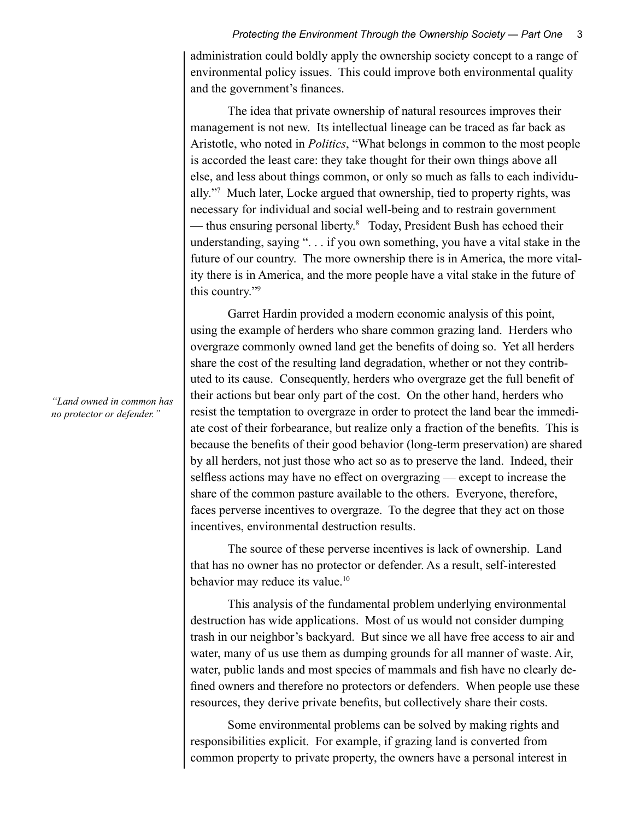administration could boldly apply the ownership society concept to a range of environmental policy issues. This could improve both environmental quality and the government's finances.

The idea that private ownership of natural resources improves their management is not new. Its intellectual lineage can be traced as far back as Aristotle, who noted in *Politics*, "What belongs in common to the most people is accorded the least care: they take thought for their own things above all else, and less about things common, or only so much as falls to each individually."7 Much later, Locke argued that ownership, tied to property rights, was necessary for individual and social well-being and to restrain government — thus ensuring personal liberty.8 Today, President Bush has echoed their understanding, saying ". . . if you own something, you have a vital stake in the future of our country. The more ownership there is in America, the more vitality there is in America, and the more people have a vital stake in the future of this country."9

Garret Hardin provided a modern economic analysis of this point, using the example of herders who share common grazing land. Herders who overgraze commonly owned land get the benefits of doing so. Yet all herders share the cost of the resulting land degradation, whether or not they contributed to its cause. Consequently, herders who overgraze get the full benefit of their actions but bear only part of the cost. On the other hand, herders who resist the temptation to overgraze in order to protect the land bear the immediate cost of their forbearance, but realize only a fraction of the benefits. This is because the benefits of their good behavior (long-term preservation) are shared by all herders, not just those who act so as to preserve the land. Indeed, their selfless actions may have no effect on overgrazing — except to increase the share of the common pasture available to the others. Everyone, therefore, faces perverse incentives to overgraze. To the degree that they act on those incentives, environmental destruction results.

The source of these perverse incentives is lack of ownership. Land that has no owner has no protector or defender. As a result, self-interested behavior may reduce its value.<sup>10</sup>

This analysis of the fundamental problem underlying environmental destruction has wide applications. Most of us would not consider dumping trash in our neighbor's backyard. But since we all have free access to air and water, many of us use them as dumping grounds for all manner of waste. Air, water, public lands and most species of mammals and fish have no clearly defined owners and therefore no protectors or defenders. When people use these resources, they derive private benefits, but collectively share their costs.

Some environmental problems can be solved by making rights and responsibilities explicit. For example, if grazing land is converted from common property to private property, the owners have a personal interest in

*"Land owned in common has no protector or defender."*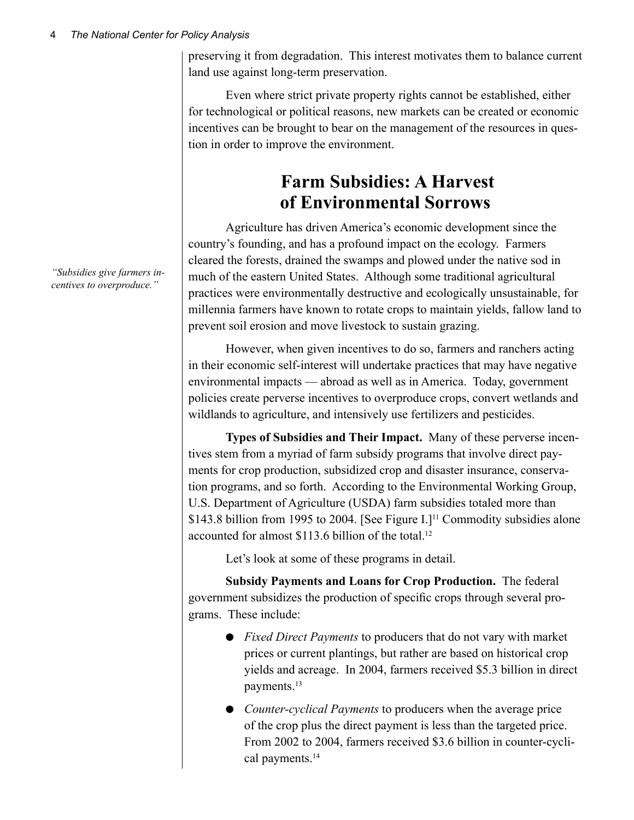preserving it from degradation. This interest motivates them to balance current land use against long-term preservation.

Even where strict private property rights cannot be established, either for technological or political reasons, new markets can be created or economic incentives can be brought to bear on the management of the resources in question in order to improve the environment.

## **Farm Subsidies: A Harvest of Environmental Sorrows**

Agriculture has driven America's economic development since the country's founding, and has a profound impact on the ecology. Farmers cleared the forests, drained the swamps and plowed under the native sod in much of the eastern United States. Although some traditional agricultural practices were environmentally destructive and ecologically unsustainable, for millennia farmers have known to rotate crops to maintain yields, fallow land to prevent soil erosion and move livestock to sustain grazing.

However, when given incentives to do so, farmers and ranchers acting in their economic self-interest will undertake practices that may have negative environmental impacts — abroad as well as in America. Today, government policies create perverse incentives to overproduce crops, convert wetlands and wildlands to agriculture, and intensively use fertilizers and pesticides.

**Types of Subsidies and Their Impact.** Many of these perverse incentives stem from a myriad of farm subsidy programs that involve direct payments for crop production, subsidized crop and disaster insurance, conservation programs, and so forth. According to the Environmental Working Group, U.S. Department of Agriculture (USDA) farm subsidies totaled more than \$143.8 billion from 1995 to 2004. [See Figure I.]<sup>11</sup> Commodity subsidies alone accounted for almost \$113.6 billion of the total.<sup>12</sup>

Let's look at some of these programs in detail.

**Subsidy Payments and Loans for Crop Production.** The federal government subsidizes the production of specific crops through several programs. These include:

- *Fixed Direct Payments* to producers that do not vary with market prices or current plantings, but rather are based on historical crop yields and acreage. In 2004, farmers received \$5.3 billion in direct payments.13
- *Counter-cyclical Payments* to producers when the average price of the crop plus the direct payment is less than the targeted price. From 2002 to 2004, farmers received \$3.6 billion in counter-cyclical payments.<sup>14</sup>

*"Subsidies give farmers incentives to overproduce."*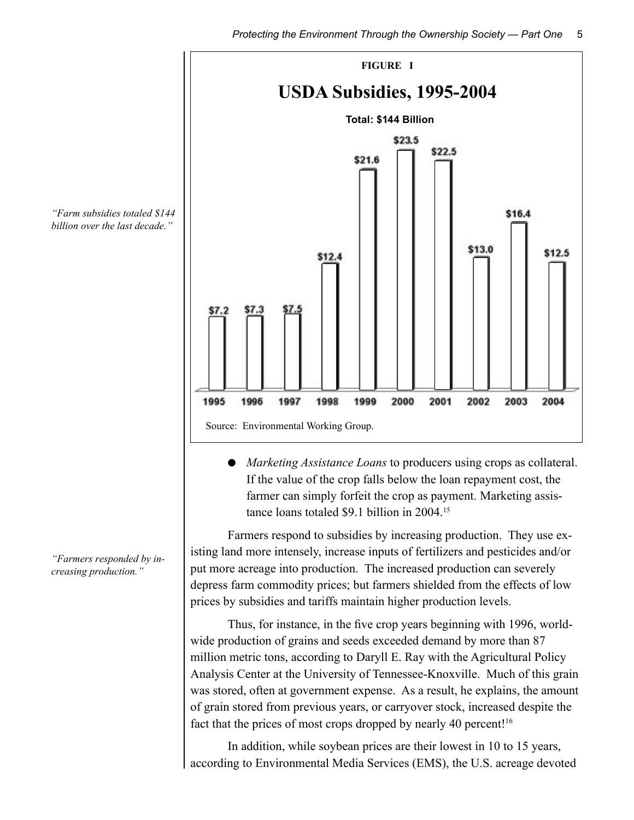

● *Marketing Assistance Loans* to producers using crops as collateral. If the value of the crop falls below the loan repayment cost, the farmer can simply forfeit the crop as payment. Marketing assistance loans totaled \$9.1 billion in 2004.15

Farmers respond to subsidies by increasing production. They use existing land more intensely, increase inputs of fertilizers and pesticides and/or put more acreage into production. The increased production can severely depress farm commodity prices; but farmers shielded from the effects of low prices by subsidies and tariffs maintain higher production levels.

Thus, for instance, in the five crop years beginning with 1996, worldwide production of grains and seeds exceeded demand by more than 87 million metric tons, according to Daryll E. Ray with the Agricultural Policy Analysis Center at the University of Tennessee-Knoxville. Much of this grain was stored, often at government expense. As a result, he explains, the amount of grain stored from previous years, or carryover stock, increased despite the fact that the prices of most crops dropped by nearly 40 percent!<sup>16</sup>

In addition, while soybean prices are their lowest in 10 to 15 years, according to Environmental Media Services (EMS), the U.S. acreage devoted

*"Farm subsidies totaled \$144 billion over the last decade."*

*"Farmers responded by increasing production."*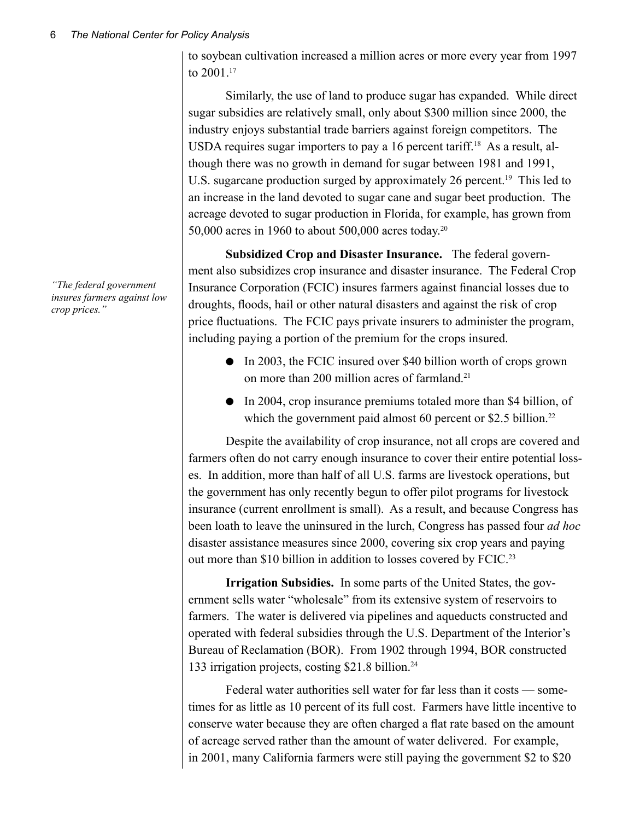to soybean cultivation increased a million acres or more every year from 1997 to 2001.<sup>17</sup>

Similarly, the use of land to produce sugar has expanded. While direct sugar subsidies are relatively small, only about \$300 million since 2000, the industry enjoys substantial trade barriers against foreign competitors. The USDA requires sugar importers to pay a 16 percent tariff.<sup>18</sup> As a result, although there was no growth in demand for sugar between 1981 and 1991, U.S. sugarcane production surged by approximately 26 percent.<sup>19</sup> This led to an increase in the land devoted to sugar cane and sugar beet production. The acreage devoted to sugar production in Florida, for example, has grown from 50,000 acres in 1960 to about 500,000 acres today.20

**Subsidized Crop and Disaster Insurance.** The federal government also subsidizes crop insurance and disaster insurance. The Federal Crop Insurance Corporation (FCIC) insures farmers against financial losses due to droughts, floods, hail or other natural disasters and against the risk of crop price fluctuations. The FCIC pays private insurers to administer the program, including paying a portion of the premium for the crops insured.

- In 2003, the FCIC insured over \$40 billion worth of crops grown on more than 200 million acres of farmland.21
- In 2004, crop insurance premiums totaled more than \$4 billion, of which the government paid almost 60 percent or \$2.5 billion.<sup>22</sup>

Despite the availability of crop insurance, not all crops are covered and farmers often do not carry enough insurance to cover their entire potential losses. In addition, more than half of all U.S. farms are livestock operations, but the government has only recently begun to offer pilot programs for livestock insurance (current enrollment is small). As a result, and because Congress has been loath to leave the uninsured in the lurch, Congress has passed four *ad hoc* disaster assistance measures since 2000, covering six crop years and paying out more than \$10 billion in addition to losses covered by FCIC.23

**Irrigation Subsidies.** In some parts of the United States, the government sells water "wholesale" from its extensive system of reservoirs to farmers. The water is delivered via pipelines and aqueducts constructed and operated with federal subsidies through the U.S. Department of the Interior's Bureau of Reclamation (BOR). From 1902 through 1994, BOR constructed 133 irrigation projects, costing \$21.8 billion.24

Federal water authorities sell water for far less than it costs — sometimes for as little as 10 percent of its full cost. Farmers have little incentive to conserve water because they are often charged a flat rate based on the amount of acreage served rather than the amount of water delivered. For example, in 2001, many California farmers were still paying the government \$2 to \$20

*"The federal government insures farmers against low crop prices."*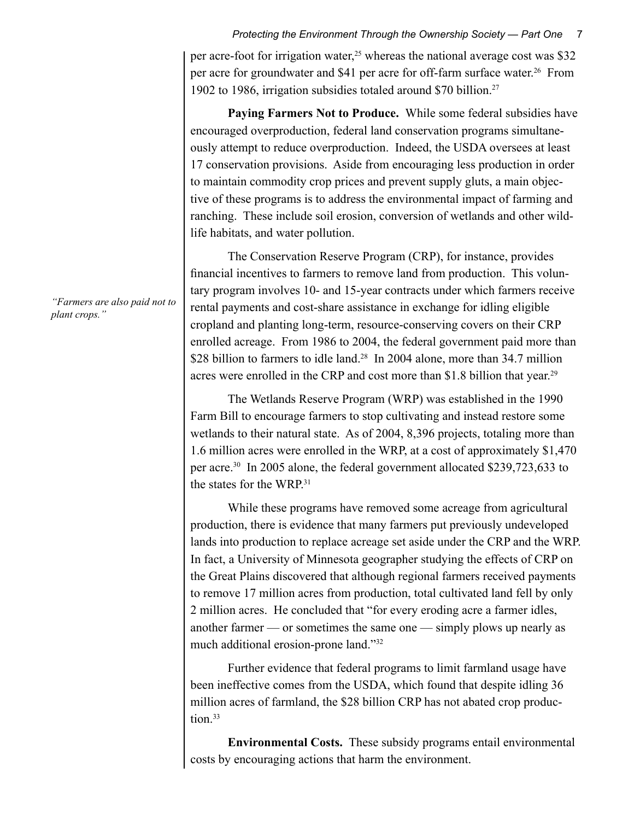per acre-foot for irrigation water,<sup>25</sup> whereas the national average cost was \$32 per acre for groundwater and \$41 per acre for off-farm surface water.26From 1902 to 1986, irrigation subsidies totaled around \$70 billion.27

**Paying Farmers Not to Produce.** While some federal subsidies have encouraged overproduction, federal land conservation programs simultaneously attempt to reduce overproduction. Indeed, the USDA oversees at least 17 conservation provisions. Aside from encouraging less production in order to maintain commodity crop prices and prevent supply gluts, a main objective of these programs is to address the environmental impact of farming and ranching. These include soil erosion, conversion of wetlands and other wildlife habitats, and water pollution.

The Conservation Reserve Program (CRP), for instance, provides financial incentives to farmers to remove land from production. This voluntary program involves 10- and 15-year contracts under which farmers receive rental payments and cost-share assistance in exchange for idling eligible cropland and planting long-term, resource-conserving covers on their CRP enrolled acreage. From 1986 to 2004, the federal government paid more than \$28 billion to farmers to idle land.<sup>28</sup> In 2004 alone, more than 34.7 million acres were enrolled in the CRP and cost more than \$1.8 billion that year.<sup>29</sup>

The Wetlands Reserve Program (WRP) was established in the 1990 Farm Bill to encourage farmers to stop cultivating and instead restore some wetlands to their natural state. As of 2004, 8,396 projects, totaling more than 1.6 million acres were enrolled in the WRP, at a cost of approximately \$1,470 per acre.30 In 2005 alone, the federal government allocated \$239,723,633 to the states for the WRP.31

While these programs have removed some acreage from agricultural production, there is evidence that many farmers put previously undeveloped lands into production to replace acreage set aside under the CRP and the WRP. In fact, a University of Minnesota geographer studying the effects of CRP on the Great Plains discovered that although regional farmers received payments to remove 17 million acres from production, total cultivated land fell by only 2 million acres. He concluded that "for every eroding acre a farmer idles, another farmer — or sometimes the same one — simply plows up nearly as much additional erosion-prone land."32

Further evidence that federal programs to limit farmland usage have been ineffective comes from the USDA, which found that despite idling 36 million acres of farmland, the \$28 billion CRP has not abated crop production.<sup>33</sup>

**Environmental Costs.** These subsidy programs entail environmental costs by encouraging actions that harm the environment.

*"Farmers are also paid not to plant crops."*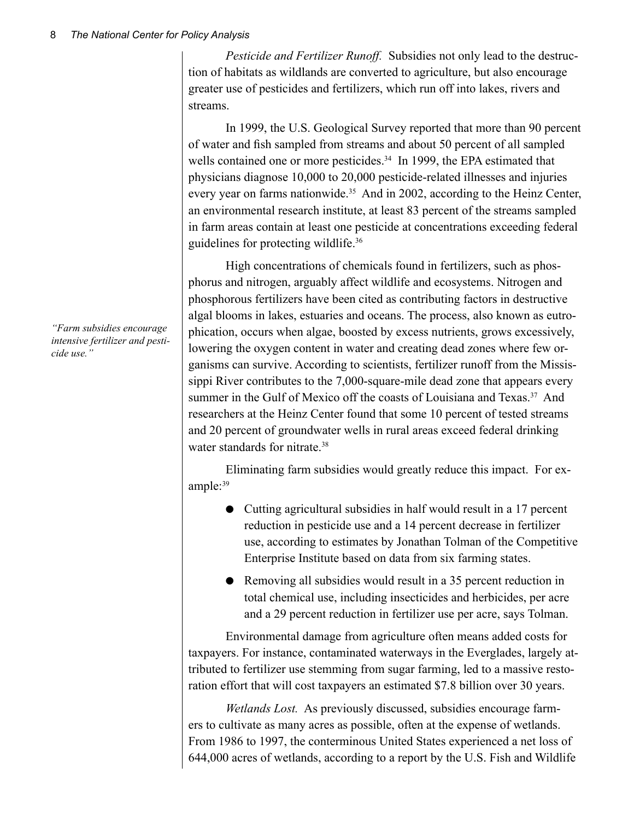*Pesticide and Fertilizer Runoff.* Subsidies not only lead to the destruction of habitats as wildlands are converted to agriculture, but also encourage greater use of pesticides and fertilizers, which run off into lakes, rivers and streams.

In 1999, the U.S. Geological Survey reported that more than 90 percent of water and fish sampled from streams and about 50 percent of all sampled wells contained one or more pesticides.<sup>34</sup> In 1999, the EPA estimated that physicians diagnose 10,000 to 20,000 pesticide-related illnesses and injuries every year on farms nationwide.<sup>35</sup> And in 2002, according to the Heinz Center, an environmental research institute, at least 83 percent of the streams sampled in farm areas contain at least one pesticide at concentrations exceeding federal guidelines for protecting wildlife.36

High concentrations of chemicals found in fertilizers, such as phosphorus and nitrogen, arguably affect wildlife and ecosystems. Nitrogen and phosphorous fertilizers have been cited as contributing factors in destructive algal blooms in lakes, estuaries and oceans. The process, also known as eutrophication, occurs when algae, boosted by excess nutrients, grows excessively, lowering the oxygen content in water and creating dead zones where few organisms can survive. According to scientists, fertilizer runoff from the Mississippi River contributes to the 7,000-square-mile dead zone that appears every summer in the Gulf of Mexico off the coasts of Louisiana and Texas.<sup>37</sup> And researchers at the Heinz Center found that some 10 percent of tested streams and 20 percent of groundwater wells in rural areas exceed federal drinking water standards for nitrate.<sup>38</sup>

Eliminating farm subsidies would greatly reduce this impact. For example:39

- Cutting agricultural subsidies in half would result in a 17 percent reduction in pesticide use and a 14 percent decrease in fertilizer use, according to estimates by Jonathan Tolman of the Competitive Enterprise Institute based on data from six farming states.
- Removing all subsidies would result in a 35 percent reduction in total chemical use, including insecticides and herbicides, per acre and a 29 percent reduction in fertilizer use per acre, says Tolman.

Environmental damage from agriculture often means added costs for taxpayers. For instance, contaminated waterways in the Everglades, largely attributed to fertilizer use stemming from sugar farming, led to a massive restoration effort that will cost taxpayers an estimated \$7.8 billion over 30 years.

*Wetlands Lost.* As previously discussed, subsidies encourage farmers to cultivate as many acres as possible, often at the expense of wetlands. From 1986 to 1997, the conterminous United States experienced a net loss of 644,000 acres of wetlands, according to a report by the U.S. Fish and Wildlife

*"Farm subsidies encourage intensive fertilizer and pesticide use."*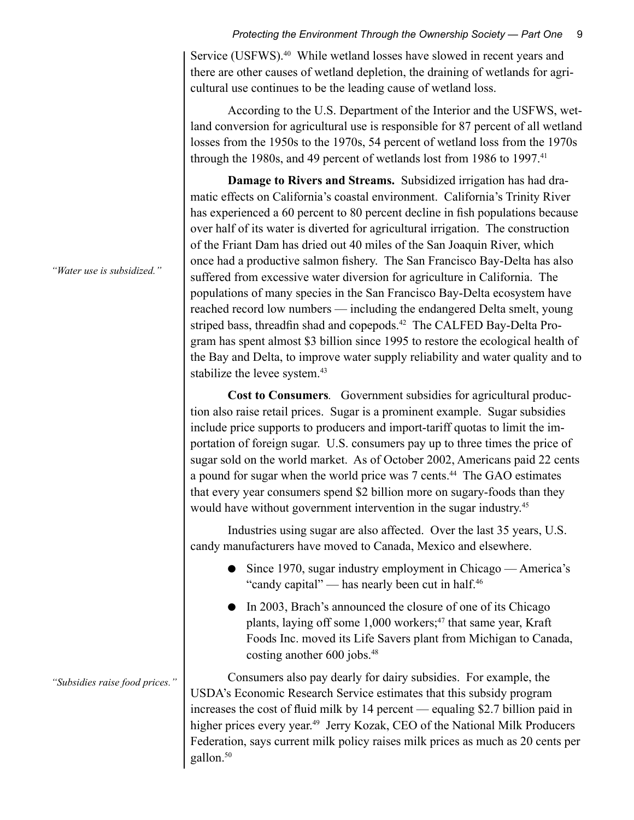Service (USFWS).<sup>40</sup> While wetland losses have slowed in recent years and there are other causes of wetland depletion, the draining of wetlands for agricultural use continues to be the leading cause of wetland loss.

According to the U.S. Department of the Interior and the USFWS, wetland conversion for agricultural use is responsible for 87 percent of all wetland losses from the 1950s to the 1970s, 54 percent of wetland loss from the 1970s through the 1980s, and 49 percent of wetlands lost from 1986 to 1997.<sup>41</sup>

**Damage to Rivers and Streams.** Subsidized irrigation has had dramatic effects on California's coastal environment. California's Trinity River has experienced a 60 percent to 80 percent decline in fish populations because over half of its water is diverted for agricultural irrigation. The construction of the Friant Dam has dried out 40 miles of the San Joaquin River, which once had a productive salmon fishery. The San Francisco Bay-Delta has also suffered from excessive water diversion for agriculture in California. The populations of many species in the San Francisco Bay-Delta ecosystem have reached record low numbers — including the endangered Delta smelt, young striped bass, threadfin shad and copepods.<sup>42</sup> The CALFED Bay-Delta Program has spent almost \$3 billion since 1995 to restore the ecological health of the Bay and Delta, to improve water supply reliability and water quality and to stabilize the levee system.<sup>43</sup>

**Cost to Consumers***.* Government subsidies for agricultural production also raise retail prices. Sugar is a prominent example. Sugar subsidies include price supports to producers and import-tariff quotas to limit the importation of foreign sugar. U.S. consumers pay up to three times the price of sugar sold on the world market. As of October 2002, Americans paid 22 cents a pound for sugar when the world price was 7 cents.<sup>44</sup> The GAO estimates that every year consumers spend \$2 billion more on sugary-foods than they would have without government intervention in the sugar industry. 45

Industries using sugar are also affected. Over the last 35 years, U.S. candy manufacturers have moved to Canada, Mexico and elsewhere.

- Since 1970, sugar industry employment in Chicago America's "candy capital" — has nearly been cut in half.<sup>46</sup>
- In 2003, Brach's announced the closure of one of its Chicago plants, laying off some 1,000 workers;<sup>47</sup> that same year, Kraft Foods Inc. moved its Life Savers plant from Michigan to Canada, costing another 600 jobs.<sup>48</sup>

Consumers also pay dearly for dairy subsidies. For example, the USDA's Economic Research Service estimates that this subsidy program increases the cost of fluid milk by 14 percent — equaling \$2.7 billion paid in higher prices every year.<sup>49</sup> Jerry Kozak, CEO of the National Milk Producers Federation, says current milk policy raises milk prices as much as 20 cents per gallon.<sup>50</sup>

*"Water use is subsidized."*

*"Subsidies raise food prices."*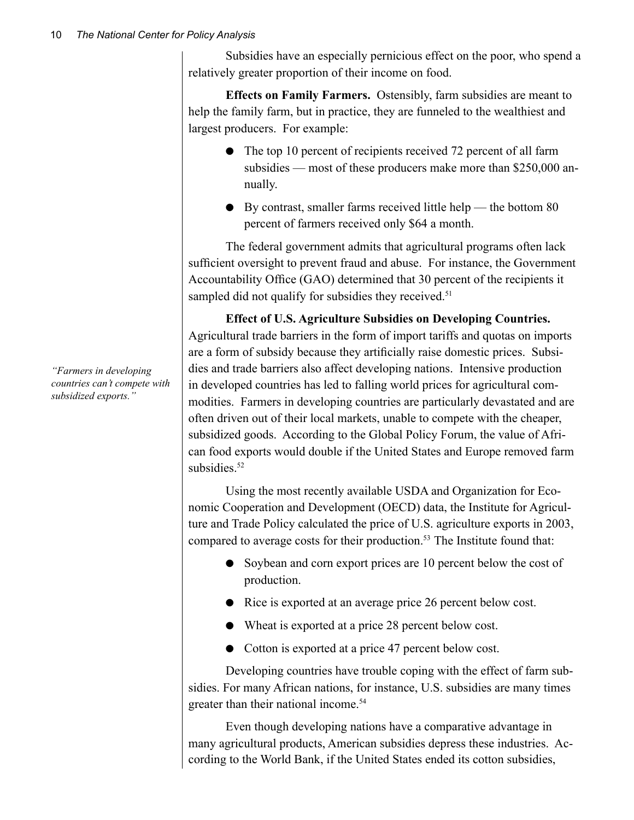Subsidies have an especially pernicious effect on the poor, who spend a relatively greater proportion of their income on food.

**Effects on Family Farmers.** Ostensibly, farm subsidies are meant to help the family farm, but in practice, they are funneled to the wealthiest and largest producers. For example:

- The top 10 percent of recipients received 72 percent of all farm subsidies — most of these producers make more than \$250,000 annually.
- $\bullet$  By contrast, smaller farms received little help the bottom 80 percent of farmers received only \$64 a month.

The federal government admits that agricultural programs often lack sufficient oversight to prevent fraud and abuse. For instance, the Government Accountability Office (GAO) determined that 30 percent of the recipients it sampled did not qualify for subsidies they received.<sup>51</sup>

**Effect of U.S. Agriculture Subsidies on Developing Countries.**  Agricultural trade barriers in the form of import tariffs and quotas on imports are a form of subsidy because they artificially raise domestic prices. Subsidies and trade barriers also affect developing nations. Intensive production in developed countries has led to falling world prices for agricultural commodities. Farmers in developing countries are particularly devastated and are often driven out of their local markets, unable to compete with the cheaper, subsidized goods. According to the Global Policy Forum, the value of African food exports would double if the United States and Europe removed farm subsidies.<sup>52</sup>

Using the most recently available USDA and Organization for Economic Cooperation and Development (OECD) data, the Institute for Agriculture and Trade Policy calculated the price of U.S. agriculture exports in 2003, compared to average costs for their production.<sup>53</sup> The Institute found that:

- Soybean and corn export prices are 10 percent below the cost of production.
- Rice is exported at an average price 26 percent below cost.
- Wheat is exported at a price 28 percent below cost.
- Cotton is exported at a price 47 percent below cost.

Developing countries have trouble coping with the effect of farm subsidies. For many African nations, for instance, U.S. subsidies are many times greater than their national income.<sup>54</sup>

Even though developing nations have a comparative advantage in many agricultural products, American subsidies depress these industries. According to the World Bank, if the United States ended its cotton subsidies,

*"Farmers in developing countries can't compete with subsidized exports."*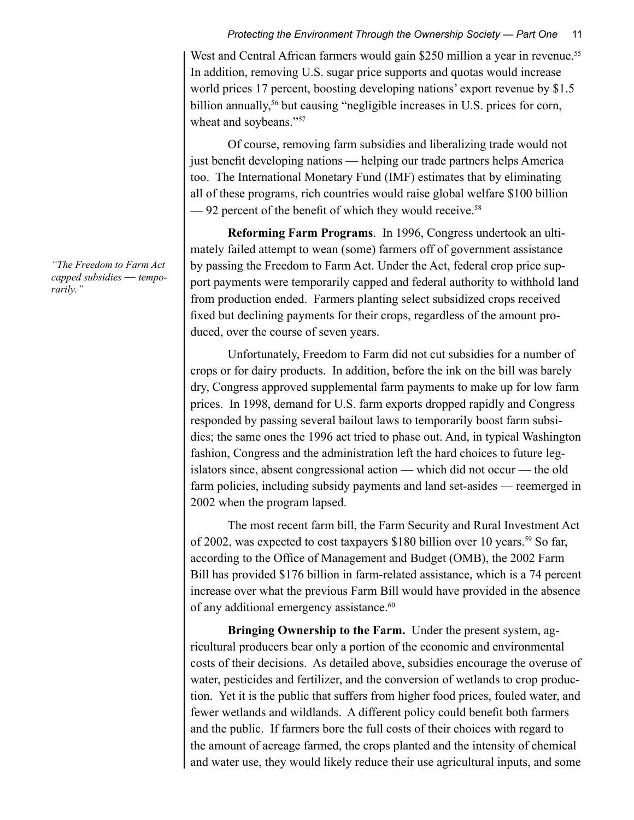West and Central African farmers would gain \$250 million a year in revenue.<sup>55</sup> In addition, removing U.S. sugar price supports and quotas would increase world prices 17 percent, boosting developing nations' export revenue by \$1.5 billion annually,<sup>56</sup> but causing "negligible increases in U.S. prices for corn, wheat and soybeans."<sup>57</sup>

Of course, removing farm subsidies and liberalizing trade would not just benefit developing nations — helping our trade partners helps America too. The International Monetary Fund (IMF) estimates that by eliminating all of these programs, rich countries would raise global welfare \$100 billion  $-92$  percent of the benefit of which they would receive.<sup>58</sup>

**Reforming Farm Programs**. In 1996, Congress undertook an ultimately failed attempt to wean (some) farmers off of government assistance by passing the Freedom to Farm Act. Under the Act, federal crop price support payments were temporarily capped and federal authority to withhold land from production ended. Farmers planting select subsidized crops received fixed but declining payments for their crops, regardless of the amount produced, over the course of seven years.

Unfortunately, Freedom to Farm did not cut subsidies for a number of crops or for dairy products. In addition, before the ink on the bill was barely dry, Congress approved supplemental farm payments to make up for low farm prices. In 1998, demand for U.S. farm exports dropped rapidly and Congress responded by passing several bailout laws to temporarily boost farm subsidies; the same ones the 1996 act tried to phase out. And, in typical Washington fashion, Congress and the administration left the hard choices to future legislators since, absent congressional action — which did not occur — the old farm policies, including subsidy payments and land set-asides — reemerged in 2002 when the program lapsed.

The most recent farm bill, the Farm Security and Rural Investment Act of 2002, was expected to cost taxpayers \$180 billion over 10 years.<sup>59</sup> So far, according to the Office of Management and Budget (OMB), the 2002 Farm Bill has provided \$176 billion in farm-related assistance, which is a 74 percent increase over what the previous Farm Bill would have provided in the absence of any additional emergency assistance.<sup>60</sup>

**Bringing Ownership to the Farm.** Under the present system, agricultural producers bear only a portion of the economic and environmental costs of their decisions. As detailed above, subsidies encourage the overuse of water, pesticides and fertilizer, and the conversion of wetlands to crop production. Yet it is the public that suffers from higher food prices, fouled water, and fewer wetlands and wildlands. A different policy could benefit both farmers and the public. If farmers bore the full costs of their choices with regard to the amount of acreage farmed, the crops planted and the intensity of chemical and water use, they would likely reduce their use agricultural inputs, and some

*"The Freedom to Farm Act capped subsidies — temporarily."*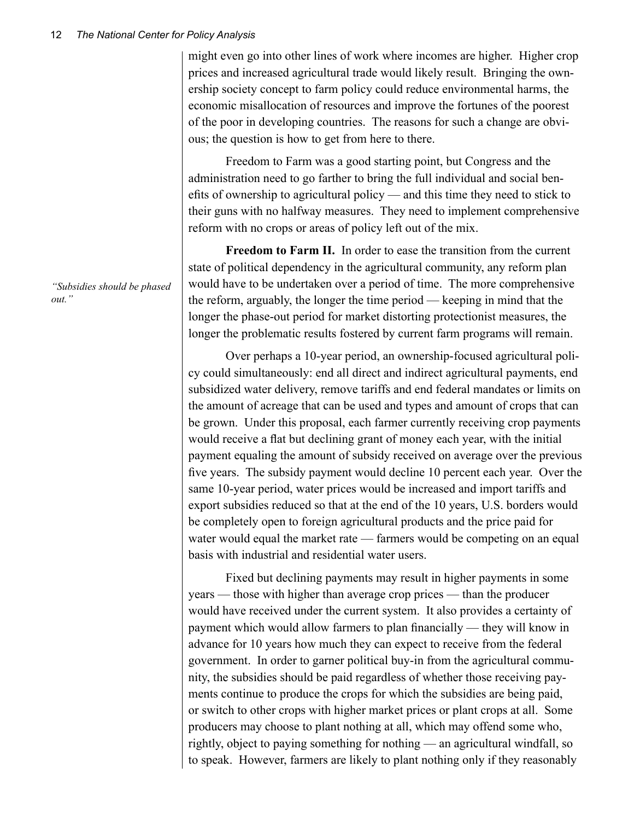might even go into other lines of work where incomes are higher. Higher crop prices and increased agricultural trade would likely result. Bringing the ownership society concept to farm policy could reduce environmental harms, the economic misallocation of resources and improve the fortunes of the poorest of the poor in developing countries. The reasons for such a change are obvious; the question is how to get from here to there.

Freedom to Farm was a good starting point, but Congress and the administration need to go farther to bring the full individual and social benefits of ownership to agricultural policy — and this time they need to stick to their guns with no halfway measures. They need to implement comprehensive reform with no crops or areas of policy left out of the mix.

**Freedom to Farm II.** In order to ease the transition from the current state of political dependency in the agricultural community, any reform plan would have to be undertaken over a period of time. The more comprehensive the reform, arguably, the longer the time period — keeping in mind that the longer the phase-out period for market distorting protectionist measures, the longer the problematic results fostered by current farm programs will remain.

Over perhaps a 10-year period, an ownership-focused agricultural policy could simultaneously: end all direct and indirect agricultural payments, end subsidized water delivery, remove tariffs and end federal mandates or limits on the amount of acreage that can be used and types and amount of crops that can be grown. Under this proposal, each farmer currently receiving crop payments would receive a flat but declining grant of money each year, with the initial payment equaling the amount of subsidy received on average over the previous five years. The subsidy payment would decline 10 percent each year. Over the same 10-year period, water prices would be increased and import tariffs and export subsidies reduced so that at the end of the 10 years, U.S. borders would be completely open to foreign agricultural products and the price paid for water would equal the market rate — farmers would be competing on an equal basis with industrial and residential water users.

Fixed but declining payments may result in higher payments in some years — those with higher than average crop prices — than the producer would have received under the current system. It also provides a certainty of payment which would allow farmers to plan financially — they will know in advance for 10 years how much they can expect to receive from the federal government. In order to garner political buy-in from the agricultural community, the subsidies should be paid regardless of whether those receiving payments continue to produce the crops for which the subsidies are being paid, or switch to other crops with higher market prices or plant crops at all. Some producers may choose to plant nothing at all, which may offend some who, rightly, object to paying something for nothing — an agricultural windfall, so to speak. However, farmers are likely to plant nothing only if they reasonably

*"Subsidies should be phased out."*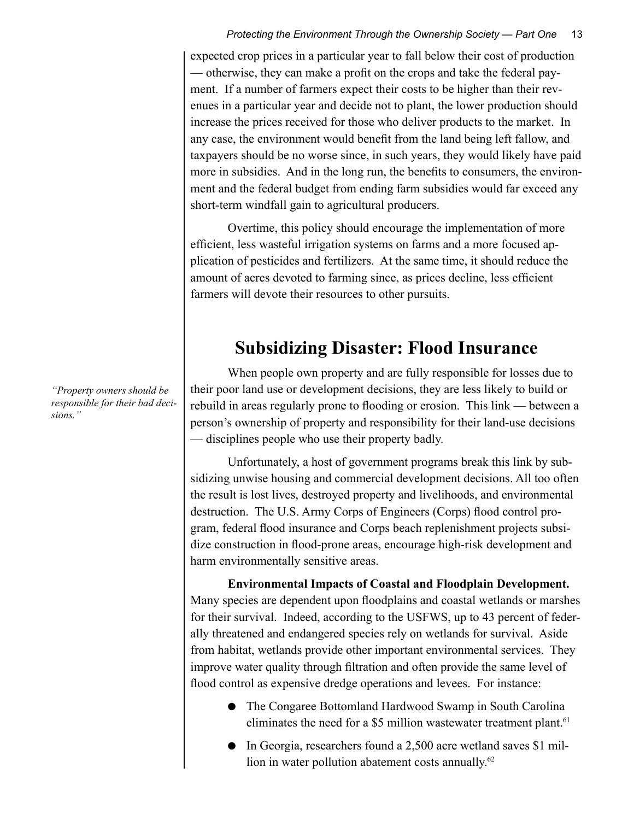expected crop prices in a particular year to fall below their cost of production — otherwise, they can make a profit on the crops and take the federal payment. If a number of farmers expect their costs to be higher than their revenues in a particular year and decide not to plant, the lower production should increase the prices received for those who deliver products to the market. In any case, the environment would benefit from the land being left fallow, and taxpayers should be no worse since, in such years, they would likely have paid more in subsidies. And in the long run, the benefits to consumers, the environment and the federal budget from ending farm subsidies would far exceed any short-term windfall gain to agricultural producers.

Overtime, this policy should encourage the implementation of more efficient, less wasteful irrigation systems on farms and a more focused application of pesticides and fertilizers. At the same time, it should reduce the amount of acres devoted to farming since, as prices decline, less efficient farmers will devote their resources to other pursuits.

# **Subsidizing Disaster: Flood Insurance**

When people own property and are fully responsible for losses due to their poor land use or development decisions, they are less likely to build or rebuild in areas regularly prone to flooding or erosion. This link — between a person's ownership of property and responsibility for their land-use decisions — disciplines people who use their property badly.

Unfortunately, a host of government programs break this link by subsidizing unwise housing and commercial development decisions. All too often the result is lost lives, destroyed property and livelihoods, and environmental destruction. The U.S. Army Corps of Engineers (Corps) flood control program, federal flood insurance and Corps beach replenishment projects subsidize construction in flood-prone areas, encourage high-risk development and harm environmentally sensitive areas.

**Environmental Impacts of Coastal and Floodplain Development.**  Many species are dependent upon floodplains and coastal wetlands or marshes for their survival. Indeed, according to the USFWS, up to 43 percent of federally threatened and endangered species rely on wetlands for survival. Aside from habitat, wetlands provide other important environmental services. They improve water quality through filtration and often provide the same level of flood control as expensive dredge operations and levees. For instance:

- The Congaree Bottomland Hardwood Swamp in South Carolina eliminates the need for a \$5 million wastewater treatment plant.<sup>61</sup>
- In Georgia, researchers found a 2,500 acre wetland saves \$1 million in water pollution abatement costs annually.<sup>62</sup>

*"Property owners should be responsible for their bad decisions."*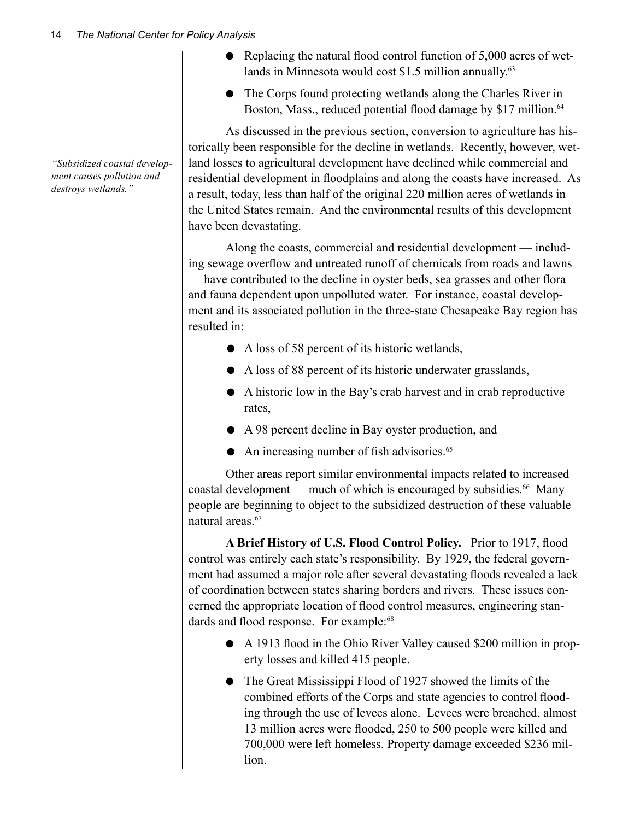*"Subsidized coastal development causes pollution and destroys wetlands."*

- Replacing the natural flood control function of 5,000 acres of wetlands in Minnesota would cost \$1.5 million annually.<sup>63</sup>
- The Corps found protecting wetlands along the Charles River in Boston, Mass., reduced potential flood damage by \$17 million.<sup>64</sup>

As discussed in the previous section, conversion to agriculture has historically been responsible for the decline in wetlands. Recently, however, wetland losses to agricultural development have declined while commercial and residential development in floodplains and along the coasts have increased. As a result, today, less than half of the original 220 million acres of wetlands in the United States remain. And the environmental results of this development have been devastating.

Along the coasts, commercial and residential development — including sewage overflow and untreated runoff of chemicals from roads and lawns — have contributed to the decline in oyster beds, sea grasses and other flora and fauna dependent upon unpolluted water. For instance, coastal development and its associated pollution in the three-state Chesapeake Bay region has resulted in:

- A loss of 58 percent of its historic wetlands,
- A loss of 88 percent of its historic underwater grasslands,
- A historic low in the Bay's crab harvest and in crab reproductive rates,
- A 98 percent decline in Bay oyster production, and
- An increasing number of fish advisories.<sup>65</sup>

Other areas report similar environmental impacts related to increased coastal development — much of which is encouraged by subsidies.<sup>66</sup> Many people are beginning to object to the subsidized destruction of these valuable natural areas.<sup>67</sup>

**A Brief History of U.S. Flood Control Policy.** Prior to 1917, flood control was entirely each state's responsibility. By 1929, the federal government had assumed a major role after several devastating floods revealed a lack of coordination between states sharing borders and rivers. These issues concerned the appropriate location of flood control measures, engineering standards and flood response. For example:<sup>68</sup>

- A 1913 flood in the Ohio River Valley caused \$200 million in property losses and killed 415 people.
- The Great Mississippi Flood of 1927 showed the limits of the combined efforts of the Corps and state agencies to control flooding through the use of levees alone. Levees were breached, almost 13 million acres were flooded, 250 to 500 people were killed and 700,000 were left homeless. Property damage exceeded \$236 million.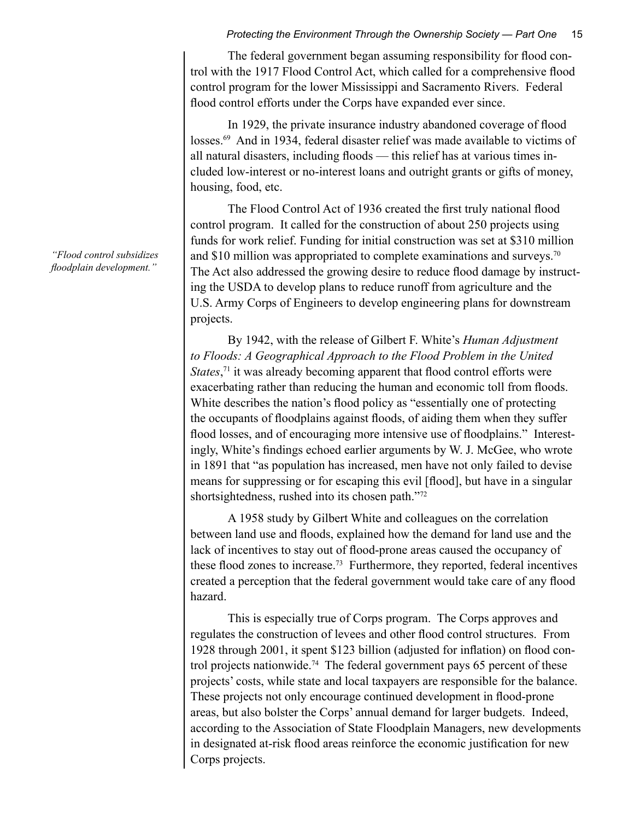The federal government began assuming responsibility for flood control with the 1917 Flood Control Act, which called for a comprehensive flood control program for the lower Mississippi and Sacramento Rivers. Federal flood control efforts under the Corps have expanded ever since.

In 1929, the private insurance industry abandoned coverage of flood losses.<sup>69</sup> And in 1934, federal disaster relief was made available to victims of all natural disasters, including floods — this relief has at various times included low-interest or no-interest loans and outright grants or gifts of money, housing, food, etc.

The Flood Control Act of 1936 created the first truly national flood control program. It called for the construction of about 250 projects using funds for work relief. Funding for initial construction was set at \$310 million and \$10 million was appropriated to complete examinations and surveys.<sup>70</sup> The Act also addressed the growing desire to reduce flood damage by instructing the USDA to develop plans to reduce runoff from agriculture and the U.S. Army Corps of Engineers to develop engineering plans for downstream projects.

By 1942, with the release of Gilbert F. White's *Human Adjustment to Floods: A Geographical Approach to the Flood Problem in the United States*,<sup>71</sup> it was already becoming apparent that flood control efforts were exacerbating rather than reducing the human and economic toll from floods. White describes the nation's flood policy as "essentially one of protecting the occupants of floodplains against floods, of aiding them when they suffer flood losses, and of encouraging more intensive use of floodplains." Interestingly, White's findings echoed earlier arguments by W. J. McGee, who wrote in 1891 that "as population has increased, men have not only failed to devise means for suppressing or for escaping this evil [flood], but have in a singular shortsightedness, rushed into its chosen path."72

A 1958 study by Gilbert White and colleagues on the correlation between land use and floods, explained how the demand for land use and the lack of incentives to stay out of flood-prone areas caused the occupancy of these flood zones to increase.73 Furthermore, they reported, federal incentives created a perception that the federal government would take care of any flood hazard.

This is especially true of Corps program. The Corps approves and regulates the construction of levees and other flood control structures. From 1928 through 2001, it spent \$123 billion (adjusted for inflation) on flood control projects nationwide.<sup>74</sup> The federal government pays 65 percent of these projects' costs, while state and local taxpayers are responsible for the balance. These projects not only encourage continued development in flood-prone areas, but also bolster the Corps' annual demand for larger budgets. Indeed, according to the Association of State Floodplain Managers, new developments in designated at-risk flood areas reinforce the economic justification for new Corps projects.

*"Flood control subsidizes floodplain development."*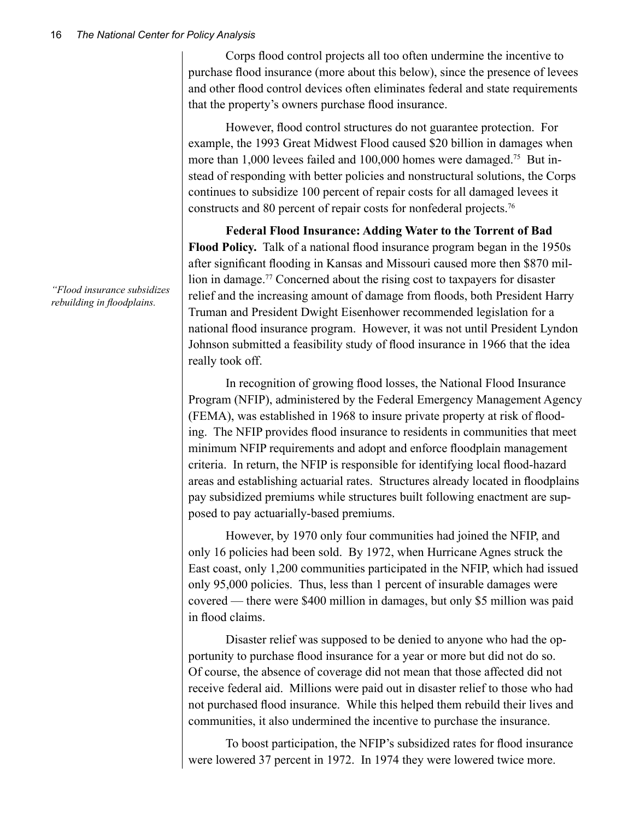Corps flood control projects all too often undermine the incentive to purchase flood insurance (more about this below), since the presence of levees and other flood control devices often eliminates federal and state requirements that the property's owners purchase flood insurance.

However, flood control structures do not guarantee protection. For example, the 1993 Great Midwest Flood caused \$20 billion in damages when more than 1,000 levees failed and 100,000 homes were damaged.<sup>75</sup> But instead of responding with better policies and nonstructural solutions, the Corps continues to subsidize 100 percent of repair costs for all damaged levees it constructs and 80 percent of repair costs for nonfederal projects.76

**Federal Flood Insurance: Adding Water to the Torrent of Bad Flood Policy.** Talk of a national flood insurance program began in the 1950s after significant flooding in Kansas and Missouri caused more then \$870 million in damage.77 Concerned about the rising cost to taxpayers for disaster relief and the increasing amount of damage from floods, both President Harry Truman and President Dwight Eisenhower recommended legislation for a national flood insurance program. However, it was not until President Lyndon Johnson submitted a feasibility study of flood insurance in 1966 that the idea really took off.

In recognition of growing flood losses, the National Flood Insurance Program (NFIP), administered by the Federal Emergency Management Agency (FEMA), was established in 1968 to insure private property at risk of flooding. The NFIP provides flood insurance to residents in communities that meet minimum NFIP requirements and adopt and enforce floodplain management criteria. In return, the NFIP is responsible for identifying local flood-hazard areas and establishing actuarial rates. Structures already located in floodplains pay subsidized premiums while structures built following enactment are supposed to pay actuarially-based premiums.

However, by 1970 only four communities had joined the NFIP, and only 16 policies had been sold. By 1972, when Hurricane Agnes struck the East coast, only 1,200 communities participated in the NFIP, which had issued only 95,000 policies. Thus, less than 1 percent of insurable damages were covered — there were \$400 million in damages, but only \$5 million was paid in flood claims.

Disaster relief was supposed to be denied to anyone who had the opportunity to purchase flood insurance for a year or more but did not do so. Of course, the absence of coverage did not mean that those affected did not receive federal aid. Millions were paid out in disaster relief to those who had not purchased flood insurance. While this helped them rebuild their lives and communities, it also undermined the incentive to purchase the insurance.

To boost participation, the NFIP's subsidized rates for flood insurance were lowered 37 percent in 1972. In 1974 they were lowered twice more.

*"Flood insurance subsidizes rebuilding in floodplains.*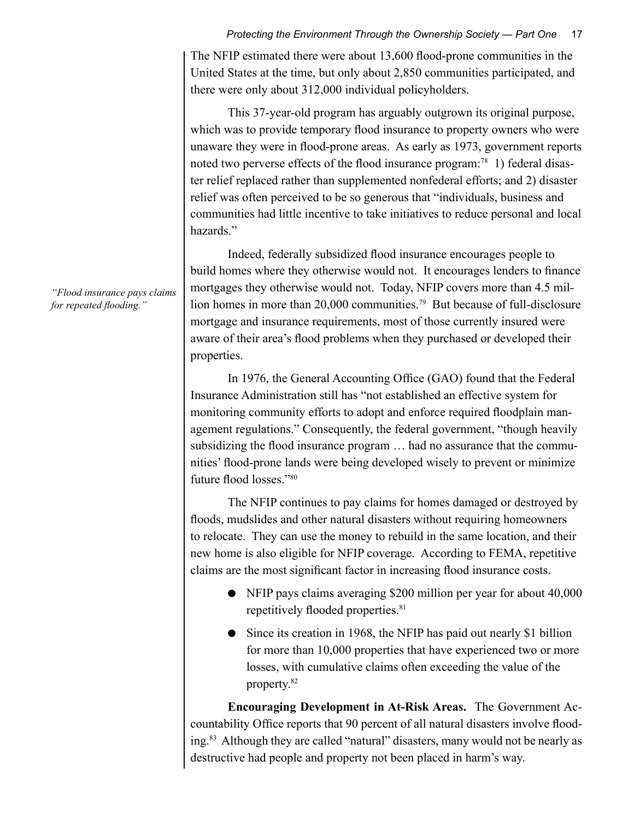The NFIP estimated there were about 13,600 flood-prone communities in the United States at the time, but only about 2,850 communities participated, and there were only about 312,000 individual policyholders.

This 37-year-old program has arguably outgrown its original purpose, which was to provide temporary flood insurance to property owners who were unaware they were in flood-prone areas. As early as 1973, government reports noted two perverse effects of the flood insurance program:<sup>78</sup> 1) federal disaster relief replaced rather than supplemented nonfederal efforts; and 2) disaster relief was often perceived to be so generous that "individuals, business and communities had little incentive to take initiatives to reduce personal and local hazards."

Indeed, federally subsidized flood insurance encourages people to build homes where they otherwise would not. It encourages lenders to finance mortgages they otherwise would not. Today, NFIP covers more than 4.5 million homes in more than 20,000 communities.<sup>79</sup> But because of full-disclosure mortgage and insurance requirements, most of those currently insured were aware of their area's flood problems when they purchased or developed their properties.

In 1976, the General Accounting Office (GAO) found that the Federal Insurance Administration still has "not established an effective system for monitoring community efforts to adopt and enforce required floodplain management regulations." Consequently, the federal government, "though heavily subsidizing the flood insurance program … had no assurance that the communities' flood-prone lands were being developed wisely to prevent or minimize future flood losses."80

The NFIP continues to pay claims for homes damaged or destroyed by floods, mudslides and other natural disasters without requiring homeowners to relocate. They can use the money to rebuild in the same location, and their new home is also eligible for NFIP coverage. According to FEMA, repetitive claims are the most significant factor in increasing flood insurance costs.

- NFIP pays claims averaging \$200 million per year for about 40,000 repetitively flooded properties.<sup>81</sup>
- Since its creation in 1968, the NFIP has paid out nearly \$1 billion for more than 10,000 properties that have experienced two or more losses, with cumulative claims often exceeding the value of the property.82

**Encouraging Development in At-Risk Areas.** The Government Accountability Office reports that 90 percent of all natural disasters involve flooding.83 Although they are called "natural" disasters, many would not be nearly as destructive had people and property not been placed in harm's way.

*"Flood insurance pays claims for repeated flooding."*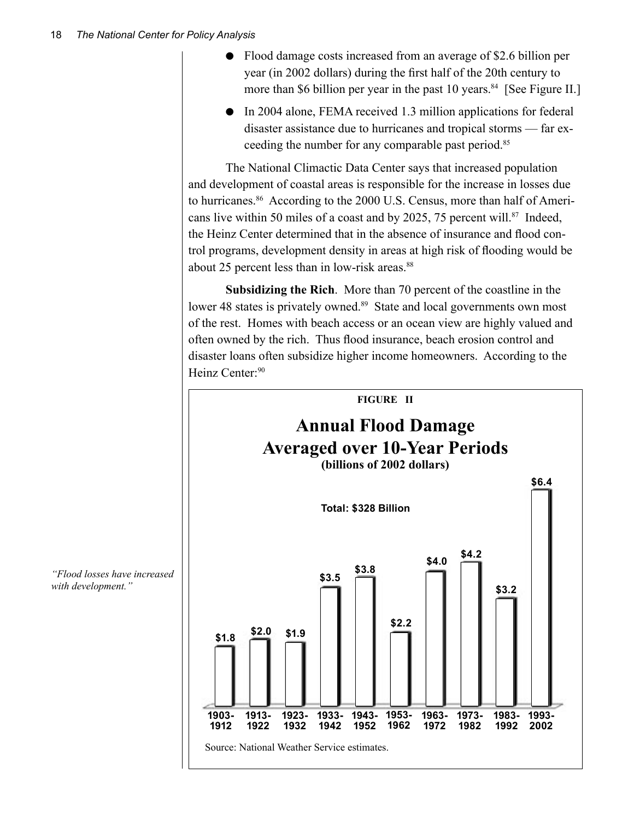- Flood damage costs increased from an average of \$2.6 billion per year (in 2002 dollars) during the first half of the 20th century to more than \$6 billion per year in the past 10 years. $84$  [See Figure II.]
- In 2004 alone, FEMA received 1.3 million applications for federal disaster assistance due to hurricanes and tropical storms — far exceeding the number for any comparable past period.<sup>85</sup>

The National Climactic Data Center says that increased population and development of coastal areas is responsible for the increase in losses due to hurricanes.<sup>86</sup> According to the 2000 U.S. Census, more than half of Americans live within 50 miles of a coast and by 2025, 75 percent will.<sup>87</sup> Indeed, the Heinz Center determined that in the absence of insurance and flood control programs, development density in areas at high risk of flooding would be about 25 percent less than in low-risk areas.<sup>88</sup>

**Subsidizing the Rich**. More than 70 percent of the coastline in the lower 48 states is privately owned.<sup>89</sup> State and local governments own most of the rest. Homes with beach access or an ocean view are highly valued and often owned by the rich. Thus flood insurance, beach erosion control and disaster loans often subsidize higher income homeowners. According to the Heinz Center:<sup>90</sup>



*"Flood losses have increased with development."*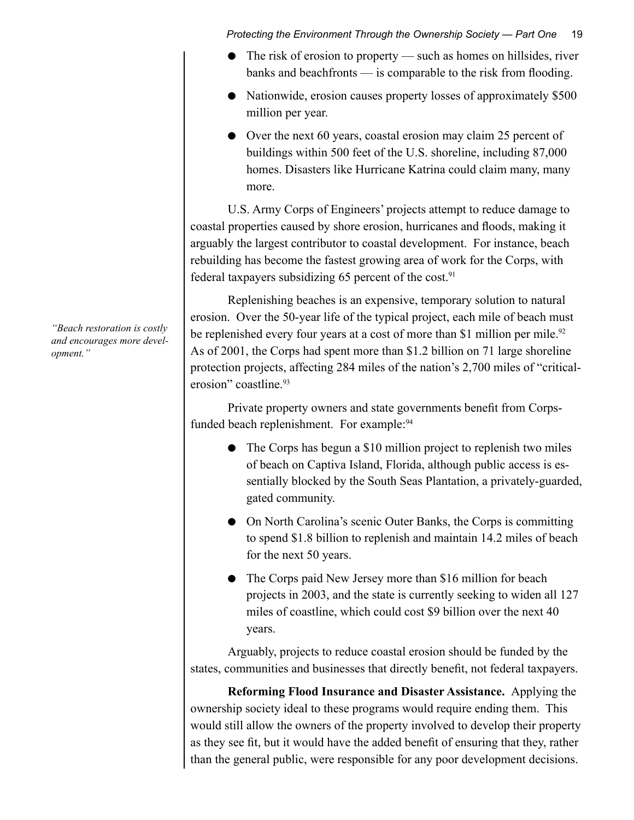- The risk of erosion to property such as homes on hillsides, river banks and beachfronts — is comparable to the risk from flooding.
- Nationwide, erosion causes property losses of approximately \$500 million per year.
- Over the next 60 years, coastal erosion may claim 25 percent of buildings within 500 feet of the U.S. shoreline, including 87,000 homes. Disasters like Hurricane Katrina could claim many, many more.

U.S. Army Corps of Engineers' projects attempt to reduce damage to coastal properties caused by shore erosion, hurricanes and floods, making it arguably the largest contributor to coastal development. For instance, beach rebuilding has become the fastest growing area of work for the Corps, with federal taxpayers subsidizing 65 percent of the cost. $91$ 

Replenishing beaches is an expensive, temporary solution to natural erosion. Over the 50-year life of the typical project, each mile of beach must be replenished every four years at a cost of more than \$1 million per mile.<sup>92</sup> As of 2001, the Corps had spent more than \$1.2 billion on 71 large shoreline protection projects, affecting 284 miles of the nation's 2,700 miles of "criticalerosion" coastline.<sup>93</sup>

Private property owners and state governments benefit from Corpsfunded beach replenishment. For example:<sup>94</sup>

- The Corps has begun a \$10 million project to replenish two miles of beach on Captiva Island, Florida, although public access is essentially blocked by the South Seas Plantation, a privately-guarded, gated community.
- On North Carolina's scenic Outer Banks, the Corps is committing to spend \$1.8 billion to replenish and maintain 14.2 miles of beach for the next 50 years.
- The Corps paid New Jersey more than \$16 million for beach projects in 2003, and the state is currently seeking to widen all 127 miles of coastline, which could cost \$9 billion over the next 40 years.

Arguably, projects to reduce coastal erosion should be funded by the states, communities and businesses that directly benefit, not federal taxpayers.

**Reforming Flood Insurance and Disaster Assistance.** Applying the ownership society ideal to these programs would require ending them. This would still allow the owners of the property involved to develop their property as they see fit, but it would have the added benefit of ensuring that they, rather than the general public, were responsible for any poor development decisions.

*"Beach restoration is costly and encourages more development."*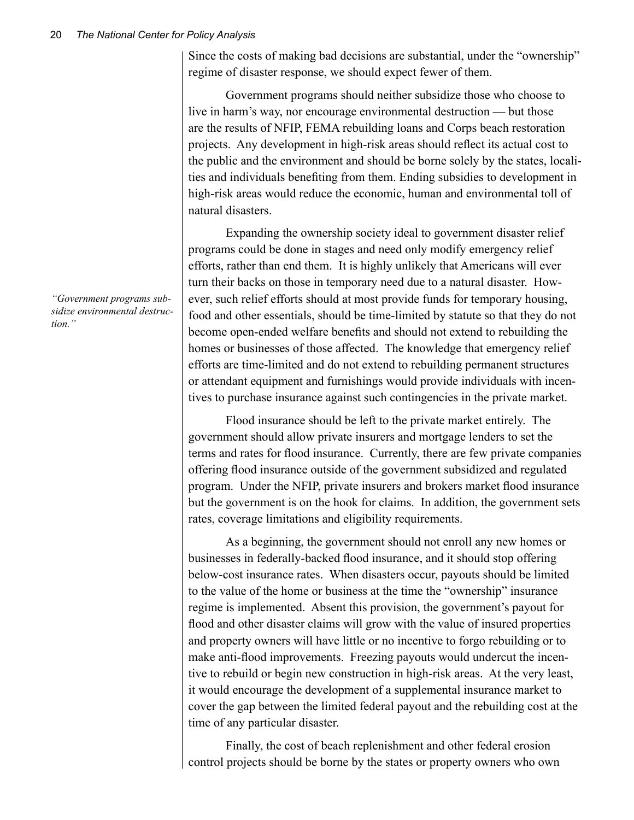Since the costs of making bad decisions are substantial, under the "ownership" regime of disaster response, we should expect fewer of them.

Government programs should neither subsidize those who choose to live in harm's way, nor encourage environmental destruction — but those are the results of NFIP, FEMA rebuilding loans and Corps beach restoration projects. Any development in high-risk areas should reflect its actual cost to the public and the environment and should be borne solely by the states, localities and individuals benefiting from them. Ending subsidies to development in high-risk areas would reduce the economic, human and environmental toll of natural disasters.

Expanding the ownership society ideal to government disaster relief programs could be done in stages and need only modify emergency relief efforts, rather than end them. It is highly unlikely that Americans will ever turn their backs on those in temporary need due to a natural disaster. However, such relief efforts should at most provide funds for temporary housing, food and other essentials, should be time-limited by statute so that they do not become open-ended welfare benefits and should not extend to rebuilding the homes or businesses of those affected. The knowledge that emergency relief efforts are time-limited and do not extend to rebuilding permanent structures or attendant equipment and furnishings would provide individuals with incentives to purchase insurance against such contingencies in the private market.

Flood insurance should be left to the private market entirely. The government should allow private insurers and mortgage lenders to set the terms and rates for flood insurance. Currently, there are few private companies offering flood insurance outside of the government subsidized and regulated program. Under the NFIP, private insurers and brokers market flood insurance but the government is on the hook for claims. In addition, the government sets rates, coverage limitations and eligibility requirements.

As a beginning, the government should not enroll any new homes or businesses in federally-backed flood insurance, and it should stop offering below-cost insurance rates. When disasters occur, payouts should be limited to the value of the home or business at the time the "ownership" insurance regime is implemented. Absent this provision, the government's payout for flood and other disaster claims will grow with the value of insured properties and property owners will have little or no incentive to forgo rebuilding or to make anti-flood improvements. Freezing payouts would undercut the incentive to rebuild or begin new construction in high-risk areas. At the very least, it would encourage the development of a supplemental insurance market to cover the gap between the limited federal payout and the rebuilding cost at the time of any particular disaster.

Finally, the cost of beach replenishment and other federal erosion control projects should be borne by the states or property owners who own

*"Government programs subsidize environmental destruction."*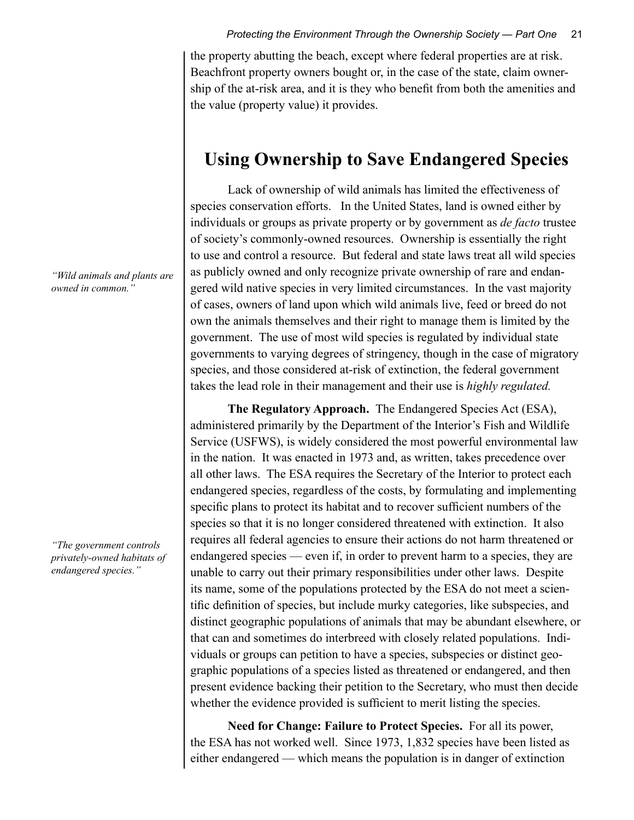the property abutting the beach, except where federal properties are at risk. Beachfront property owners bought or, in the case of the state, claim ownership of the at-risk area, and it is they who benefit from both the amenities and the value (property value) it provides.

### **Using Ownership to Save Endangered Species**

Lack of ownership of wild animals has limited the effectiveness of species conservation efforts. In the United States, land is owned either by individuals or groups as private property or by government as *de facto* trustee of society's commonly-owned resources. Ownership is essentially the right to use and control a resource. But federal and state laws treat all wild species as publicly owned and only recognize private ownership of rare and endangered wild native species in very limited circumstances. In the vast majority of cases, owners of land upon which wild animals live, feed or breed do not own the animals themselves and their right to manage them is limited by the government. The use of most wild species is regulated by individual state governments to varying degrees of stringency, though in the case of migratory species, and those considered at-risk of extinction, the federal government takes the lead role in their management and their use is *highly regulated.*

**The Regulatory Approach.** The Endangered Species Act (ESA), administered primarily by the Department of the Interior's Fish and Wildlife Service (USFWS), is widely considered the most powerful environmental law in the nation. It was enacted in 1973 and, as written, takes precedence over all other laws. The ESA requires the Secretary of the Interior to protect each endangered species, regardless of the costs, by formulating and implementing specific plans to protect its habitat and to recover sufficient numbers of the species so that it is no longer considered threatened with extinction. It also requires all federal agencies to ensure their actions do not harm threatened or endangered species — even if, in order to prevent harm to a species, they are unable to carry out their primary responsibilities under other laws. Despite its name, some of the populations protected by the ESA do not meet a scientific definition of species, but include murky categories, like subspecies, and distinct geographic populations of animals that may be abundant elsewhere, or that can and sometimes do interbreed with closely related populations. Individuals or groups can petition to have a species, subspecies or distinct geographic populations of a species listed as threatened or endangered, and then present evidence backing their petition to the Secretary, who must then decide whether the evidence provided is sufficient to merit listing the species.

**Need for Change: Failure to Protect Species.** For all its power, the ESA has not worked well. Since 1973, 1,832 species have been listed as either endangered — which means the population is in danger of extinction

*"Wild animals and plants are owned in common."*

*"The government controls privately-owned habitats of endangered species."*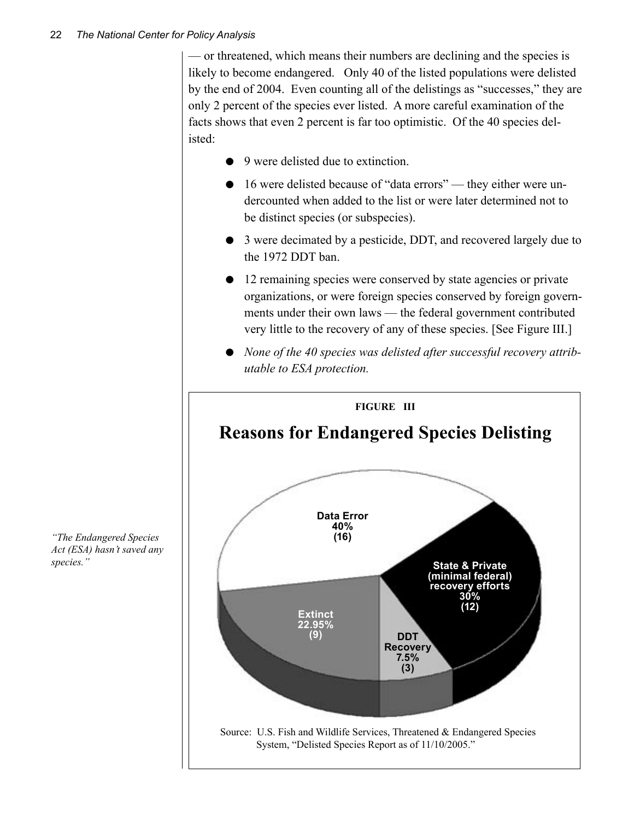— or threatened, which means their numbers are declining and the species is likely to become endangered. Only 40 of the listed populations were delisted by the end of 2004. Even counting all of the delistings as "successes," they are only 2 percent of the species ever listed. A more careful examination of the facts shows that even 2 percent is far too optimistic. Of the 40 species delisted:

- 9 were delisted due to extinction.
- 16 were delisted because of "data errors" they either were undercounted when added to the list or were later determined not to be distinct species (or subspecies).
- 3 were decimated by a pesticide, DDT, and recovered largely due to the 1972 DDT ban.
- 12 remaining species were conserved by state agencies or private organizations, or were foreign species conserved by foreign governments under their own laws — the federal government contributed very little to the recovery of any of these species. [See Figure III.]
- *None of the 40 species was delisted after successful recovery attributable to ESA protection.*



*"The Endangered Species Act (ESA) hasn't saved any species."*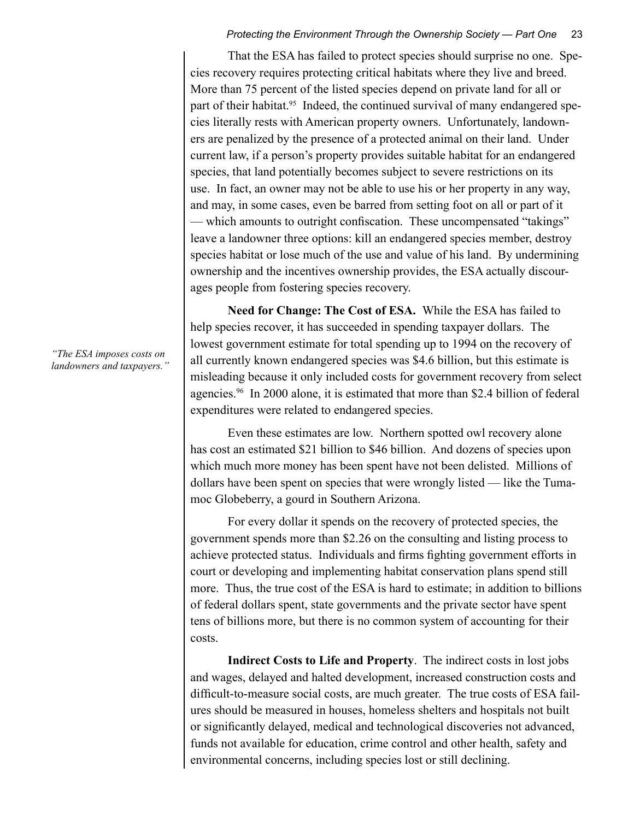That the ESA has failed to protect species should surprise no one. Species recovery requires protecting critical habitats where they live and breed. More than 75 percent of the listed species depend on private land for all or part of their habitat.<sup>95</sup> Indeed, the continued survival of many endangered species literally rests with American property owners. Unfortunately, landowners are penalized by the presence of a protected animal on their land. Under current law, if a person's property provides suitable habitat for an endangered species, that land potentially becomes subject to severe restrictions on its use. In fact, an owner may not be able to use his or her property in any way, and may, in some cases, even be barred from setting foot on all or part of it — which amounts to outright confiscation. These uncompensated "takings" leave a landowner three options: kill an endangered species member, destroy species habitat or lose much of the use and value of his land. By undermining ownership and the incentives ownership provides, the ESA actually discourages people from fostering species recovery.

**Need for Change: The Cost of ESA.** While the ESA has failed to help species recover, it has succeeded in spending taxpayer dollars. The lowest government estimate for total spending up to 1994 on the recovery of all currently known endangered species was \$4.6 billion, but this estimate is misleading because it only included costs for government recovery from select agencies.96 In 2000 alone, it is estimated that more than \$2.4 billion of federal expenditures were related to endangered species.

Even these estimates are low. Northern spotted owl recovery alone has cost an estimated \$21 billion to \$46 billion. And dozens of species upon which much more money has been spent have not been delisted. Millions of dollars have been spent on species that were wrongly listed — like the Tumamoc Globeberry, a gourd in Southern Arizona.

For every dollar it spends on the recovery of protected species, the government spends more than \$2.26 on the consulting and listing process to achieve protected status. Individuals and firms fighting government efforts in court or developing and implementing habitat conservation plans spend still more.Thus, the true cost of the ESA is hard to estimate; in addition to billions of federal dollars spent, state governments and the private sector have spent tens of billions more, but there is no common system of accounting for their costs.

**Indirect Costs to Life and Property**. The indirect costs in lost jobs and wages, delayed and halted development, increased construction costs and difficult-to-measure social costs, are much greater. The true costs of ESA failures should be measured in houses, homeless shelters and hospitals not built or significantly delayed, medical and technological discoveries not advanced, funds not available for education, crime control and other health, safety and environmental concerns, including species lost or still declining.

*"The ESA imposes costs on landowners and taxpayers."*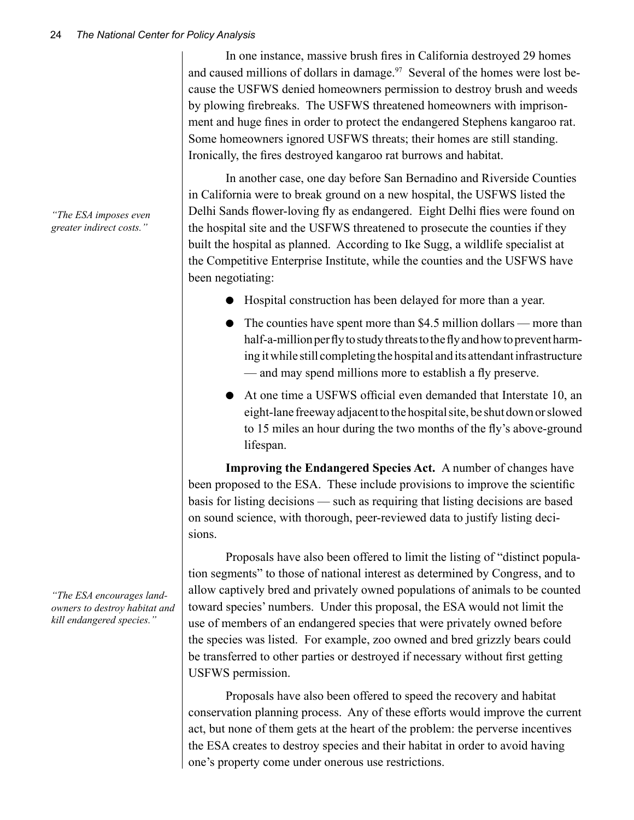In one instance, massive brush fires in California destroyed 29 homes and caused millions of dollars in damage.<sup>97</sup> Several of the homes were lost because the USFWS denied homeowners permission to destroy brush and weeds by plowing firebreaks. The USFWS threatened homeowners with imprisonment and huge fines in order to protect the endangered Stephens kangaroo rat. Some homeowners ignored USFWS threats; their homes are still standing. Ironically, the fires destroyed kangaroo rat burrows and habitat.

In another case, one day before San Bernadino and Riverside Counties in California were to break ground on a new hospital, the USFWS listed the Delhi Sands flower-loving fly as endangered. Eight Delhi flies were found on the hospital site and the USFWS threatened to prosecute the counties if they built the hospital as planned. According to Ike Sugg, a wildlife specialist at the Competitive Enterprise Institute, while the counties and the USFWS have been negotiating:

- Hospital construction has been delayed for more than a year.
- The counties have spent more than \$4.5 million dollars more than half-a-million per fly to study threats to the fly and how to prevent harming it while still completing the hospital and its attendant infrastructure — and may spend millions more to establish a fly preserve.
- At one time a USFWS official even demanded that Interstate 10, an eight-lane freeway adjacent to the hospital site, be shut down or slowed to 15 miles an hour during the two months of the fly's above-ground lifespan.

**Improving the Endangered Species Act.** A number of changes have been proposed to the ESA. These include provisions to improve the scientific basis for listing decisions — such as requiring that listing decisions are based on sound science, with thorough, peer-reviewed data to justify listing decisions.

Proposals have also been offered to limit the listing of "distinct population segments" to those of national interest as determined by Congress, and to allow captively bred and privately owned populations of animals to be counted toward species' numbers. Under this proposal, the ESA would not limit the use of members of an endangered species that were privately owned before the species was listed. For example, zoo owned and bred grizzly bears could be transferred to other parties or destroyed if necessary without first getting USFWS permission.

Proposals have also been offered to speed the recovery and habitat conservation planning process. Any of these efforts would improve the current act, but none of them gets at the heart of the problem: the perverse incentives the ESA creates to destroy species and their habitat in order to avoid having one's property come under onerous use restrictions.

*"The ESA imposes even greater indirect costs."*

*"The ESA encourages landowners to destroy habitat and kill endangered species."*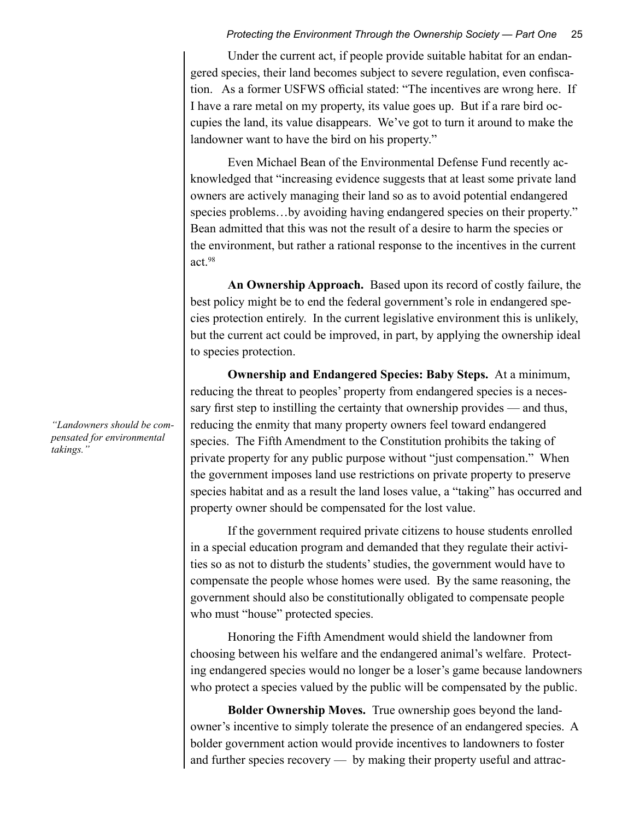Under the current act, if people provide suitable habitat for an endangered species, their land becomes subject to severe regulation, even confiscation. As a former USFWS official stated: "The incentives are wrong here. If I have a rare metal on my property, its value goes up. But if a rare bird occupies the land, its value disappears. We've got to turn it around to make the landowner want to have the bird on his property."

Even Michael Bean of the Environmental Defense Fund recently acknowledged that "increasing evidence suggests that at least some private land owners are actively managing their land so as to avoid potential endangered species problems…by avoiding having endangered species on their property." Bean admitted that this was not the result of a desire to harm the species or the environment, but rather a rational response to the incentives in the current act.98

**An Ownership Approach.** Based upon its record of costly failure, the best policy might be to end the federal government's role in endangered species protection entirely. In the current legislative environment this is unlikely, but the current act could be improved, in part, by applying the ownership ideal to species protection.

**Ownership and Endangered Species: Baby Steps.** At a minimum, reducing the threat to peoples' property from endangered species is a necessary first step to instilling the certainty that ownership provides — and thus, reducing the enmity that many property owners feel toward endangered species. The Fifth Amendment to the Constitution prohibits the taking of private property for any public purpose without "just compensation." When the government imposes land use restrictions on private property to preserve species habitat and as a result the land loses value, a "taking" has occurred and property owner should be compensated for the lost value.

If the government required private citizens to house students enrolled in a special education program and demanded that they regulate their activities so as not to disturb the students' studies, the government would have to compensate the people whose homes were used. By the same reasoning, the government should also be constitutionally obligated to compensate people who must "house" protected species.

Honoring the Fifth Amendment would shield the landowner from choosing between his welfare and the endangered animal's welfare. Protecting endangered species would no longer be a loser's game because landowners who protect a species valued by the public will be compensated by the public.

**Bolder Ownership Moves.** True ownership goes beyond the landowner's incentive to simply tolerate the presence of an endangered species. A bolder government action would provide incentives to landowners to foster and further species recovery — by making their property useful and attrac-

*"Landowners should be compensated for environmental takings."*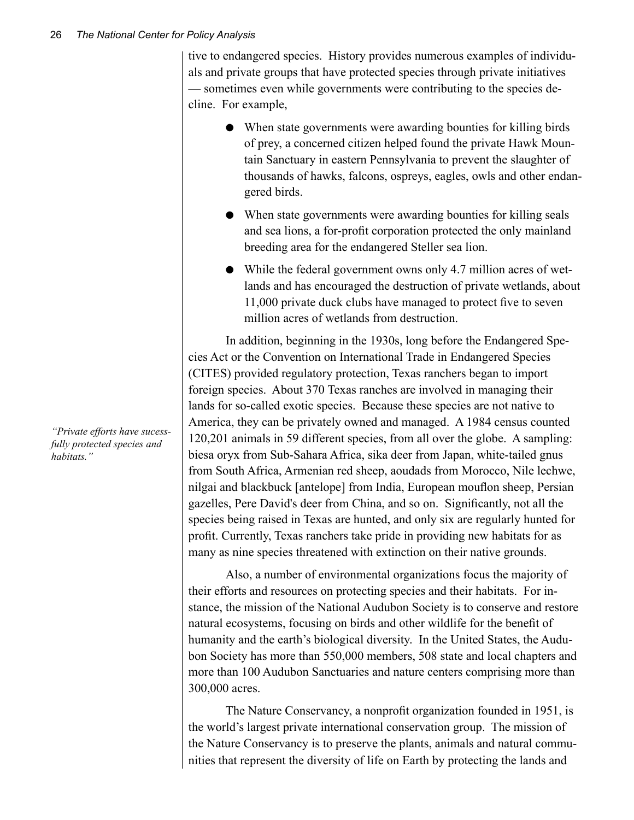tive to endangered species. History provides numerous examples of individuals and private groups that have protected species through private initiatives — sometimes even while governments were contributing to the species decline. For example,

- When state governments were awarding bounties for killing birds of prey, a concerned citizen helped found the private Hawk Mountain Sanctuary in eastern Pennsylvania to prevent the slaughter of thousands of hawks, falcons, ospreys, eagles, owls and other endangered birds.
- When state governments were awarding bounties for killing seals and sea lions, a for-profit corporation protected the only mainland breeding area for the endangered Steller sea lion.
- While the federal government owns only 4.7 million acres of wetlands and has encouraged the destruction of private wetlands, about 11,000 private duck clubs have managed to protect five to seven million acres of wetlands from destruction.

In addition, beginning in the 1930s, long before the Endangered Species Act or the Convention on International Trade in Endangered Species (CITES) provided regulatory protection, Texas ranchers began to import foreign species. About 370 Texas ranches are involved in managing their lands for so-called exotic species. Because these species are not native to America, they can be privately owned and managed. A 1984 census counted 120,201 animals in 59 different species, from all over the globe. A sampling: biesa oryx from Sub-Sahara Africa, sika deer from Japan, white-tailed gnus from South Africa, Armenian red sheep, aoudads from Morocco, Nile lechwe, nilgai and blackbuck [antelope] from India, European mouflon sheep, Persian gazelles, Pere David's deer from China, and so on. Significantly, not all the species being raised in Texas are hunted, and only six are regularly hunted for profit. Currently, Texas ranchers take pride in providing new habitats for as many as nine species threatened with extinction on their native grounds.

Also, a number of environmental organizations focus the majority of their efforts and resources on protecting species and their habitats. For instance, the mission of the National Audubon Society is to conserve and restore natural ecosystems, focusing on birds and other wildlife for the benefit of humanity and the earth's biological diversity. In the United States, the Audubon Society has more than 550,000 members, 508 state and local chapters and more than 100 Audubon Sanctuaries and nature centers comprising more than 300,000 acres.

The Nature Conservancy, a nonprofit organization founded in 1951, is the world's largest private international conservation group. The mission of the Nature Conservancy is to preserve the plants, animals and natural communities that represent the diversity of life on Earth by protecting the lands and

*"Private efforts have sucessfully protected species and habitats."*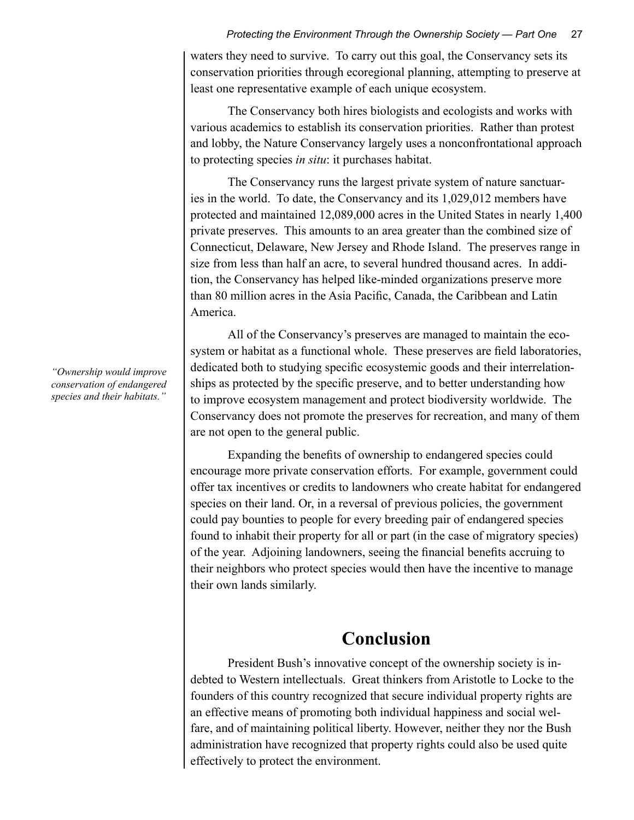waters they need to survive. To carry out this goal, the Conservancy sets its conservation priorities through ecoregional planning, attempting to preserve at least one representative example of each unique ecosystem.

The Conservancy both hires biologists and ecologists and works with various academics to establish its conservation priorities. Rather than protest and lobby, the Nature Conservancy largely uses a nonconfrontational approach to protecting species *in situ*: it purchases habitat.

The Conservancy runs the largest private system of nature sanctuaries in the world. To date, the Conservancy and its 1,029,012 members have protected and maintained 12,089,000 acres in the United States in nearly 1,400 private preserves. This amounts to an area greater than the combined size of Connecticut, Delaware, New Jersey and Rhode Island. The preserves range in size from less than half an acre, to several hundred thousand acres. In addition, the Conservancy has helped like-minded organizations preserve more than 80 million acres in the Asia Pacific, Canada, the Caribbean and Latin America.

All of the Conservancy's preserves are managed to maintain the ecosystem or habitat as a functional whole. These preserves are field laboratories, dedicated both to studying specific ecosystemic goods and their interrelationships as protected by the specific preserve, and to better understanding how to improve ecosystem management and protect biodiversity worldwide. The Conservancy does not promote the preserves for recreation, and many of them are not open to the general public.

Expanding the benefits of ownership to endangered species could encourage more private conservation efforts. For example, government could offer tax incentives or credits to landowners who create habitat for endangered species on their land. Or, in a reversal of previous policies, the government could pay bounties to people for every breeding pair of endangered species found to inhabit their property for all or part (in the case of migratory species) of the year. Adjoining landowners, seeing the financial benefits accruing to their neighbors who protect species would then have the incentive to manage their own lands similarly.

### **Conclusion**

President Bush's innovative concept of the ownership society is indebted to Western intellectuals. Great thinkers from Aristotle to Locke to the founders of this country recognized that secure individual property rights are an effective means of promoting both individual happiness and social welfare, and of maintaining political liberty. However, neither they nor the Bush administration have recognized that property rights could also be used quite effectively to protect the environment.

*"Ownership would improve conservation of endangered species and their habitats."*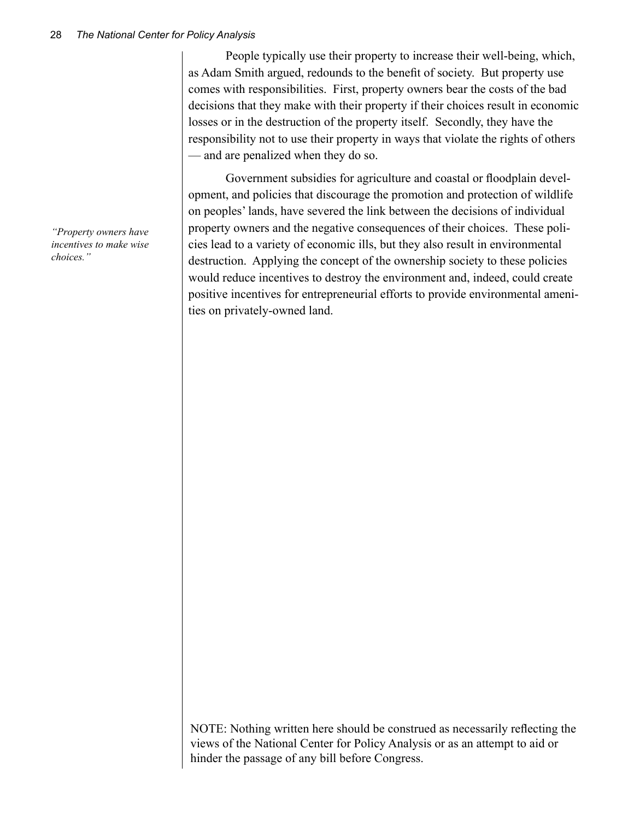People typically use their property to increase their well-being, which, as Adam Smith argued, redounds to the benefit of society. But property use comes with responsibilities. First, property owners bear the costs of the bad decisions that they make with their property if their choices result in economic losses or in the destruction of the property itself. Secondly, they have the responsibility not to use their property in ways that violate the rights of others — and are penalized when they do so.

Government subsidies for agriculture and coastal or floodplain development, and policies that discourage the promotion and protection of wildlife on peoples' lands, have severed the link between the decisions of individual property owners and the negative consequences of their choices. These policies lead to a variety of economic ills, but they also result in environmental destruction. Applying the concept of the ownership society to these policies would reduce incentives to destroy the environment and, indeed, could create positive incentives for entrepreneurial efforts to provide environmental amenities on privately-owned land.

*"Property owners have incentives to make wise choices."*

> NOTE: Nothing written here should be construed as necessarily reflecting the views of the National Center for Policy Analysis or as an attempt to aid or hinder the passage of any bill before Congress.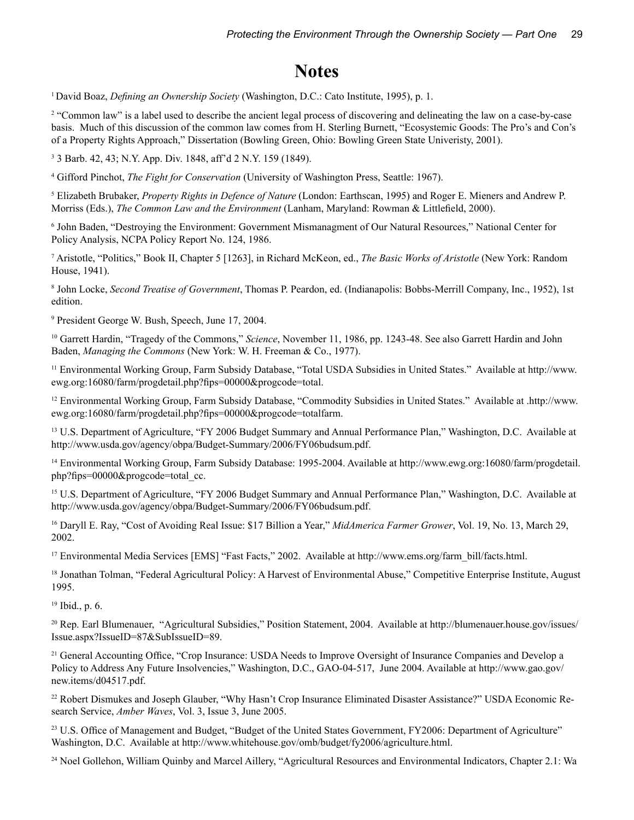### **Notes**

<sup>1</sup> David Boaz, *Defining an Ownership Society* (Washington, D.C.: Cato Institute, 1995), p. 1.

2 "Common law" is a label used to describe the ancient legal process of discovering and delineating the law on a case-by-case basis. Much of this discussion of the common law comes from H. Sterling Burnett, "Ecosystemic Goods: The Pro's and Con's of a Property Rights Approach," Dissertation (Bowling Green, Ohio: Bowling Green State Univeristy, 2001).

3 3 Barb. 42, 43; N.Y. App. Div. 1848, aff'd 2 N.Y. 159 (1849).

4 Gifford Pinchot, *The Fight for Conservation* (University of Washington Press, Seattle: 1967).

5 Elizabeth Brubaker, *Property Rights in Defence of Nature* (London: Earthscan, 1995) and Roger E. Mieners and Andrew P. Morriss (Eds.), *The Common Law and the Environment* (Lanham, Maryland: Rowman & Littlefield, 2000).

6 John Baden, "Destroying the Environment: Government Mismanagment of Our Natural Resources," National Center for Policy Analysis, NCPA Policy Report No. 124, 1986.

7 Aristotle, "Politics," Book II, Chapter 5 [1263], in Richard McKeon, ed., *The Basic Works of Aristotle* (New York: Random House, 1941).

8 John Locke, *Second Treatise of Government*, Thomas P. Peardon, ed. (Indianapolis: Bobbs-Merrill Company, Inc., 1952), 1st edition.

9 President George W. Bush, Speech, June 17, 2004.

10 Garrett Hardin, "Tragedy of the Commons," *Science*, November 11, 1986, pp. 1243-48. See also Garrett Hardin and John Baden, *Managing the Commons* (New York: W. H. Freeman & Co., 1977).

<sup>11</sup> Environmental Working Group, Farm Subsidy Database, "Total USDA Subsidies in United States." Available at http://www. ewg.org:16080/farm/progdetail.php?fips=00000&progcode=total.

12 Environmental Working Group, Farm Subsidy Database, "Commodity Subsidies in United States." Available at .http://www. ewg.org:16080/farm/progdetail.php?fips=00000&progcode=totalfarm.

<sup>13</sup> U.S. Department of Agriculture, "FY 2006 Budget Summary and Annual Performance Plan," Washington, D.C. Available at http://www.usda.gov/agency/obpa/Budget-Summary/2006/FY06budsum.pdf.

14 Environmental Working Group, Farm Subsidy Database: 1995-2004. Available at http://www.ewg.org:16080/farm/progdetail. php?fips=00000&progcode=total\_cc.

<sup>15</sup> U.S. Department of Agriculture, "FY 2006 Budget Summary and Annual Performance Plan," Washington, D.C. Available at http://www.usda.gov/agency/obpa/Budget-Summary/2006/FY06budsum.pdf.

16 Daryll E. Ray, "Cost of Avoiding Real Issue: \$17 Billion a Year," *MidAmerica Farmer Grower*, Vol. 19, No. 13, March 29, 2002.

17 Environmental Media Services [EMS] "Fast Facts," 2002. Available at http://www.ems.org/farm\_bill/facts.html.

<sup>18</sup> Jonathan Tolman, "Federal Agricultural Policy: A Harvest of Environmental Abuse," Competitive Enterprise Institute, August 1995.

19 Ibid., p. 6.

20 Rep. Earl Blumenauer, "Agricultural Subsidies," Position Statement, 2004. Available at http://blumenauer.house.gov/issues/ Issue.aspx?IssueID=87&SubIssueID=89.

<sup>21</sup> General Accounting Office, "Crop Insurance: USDA Needs to Improve Oversight of Insurance Companies and Develop a Policy to Address Any Future Insolvencies," Washington, D.C., GAO-04-517, June 2004. Available at http://www.gao.gov/ new.items/d04517.pdf.

22 Robert Dismukes and Joseph Glauber, "Why Hasn't Crop Insurance Eliminated Disaster Assistance?" USDA Economic Research Service, *Amber Waves*, Vol. 3, Issue 3, June 2005.

<sup>23</sup> U.S. Office of Management and Budget, "Budget of the United States Government, FY2006: Department of Agriculture" Washington, D.C. Available at http://www.whitehouse.gov/omb/budget/fy2006/agriculture.html.

<sup>24</sup> Noel Gollehon, William Quinby and Marcel Aillery, "Agricultural Resources and Environmental Indicators, Chapter 2.1: Wa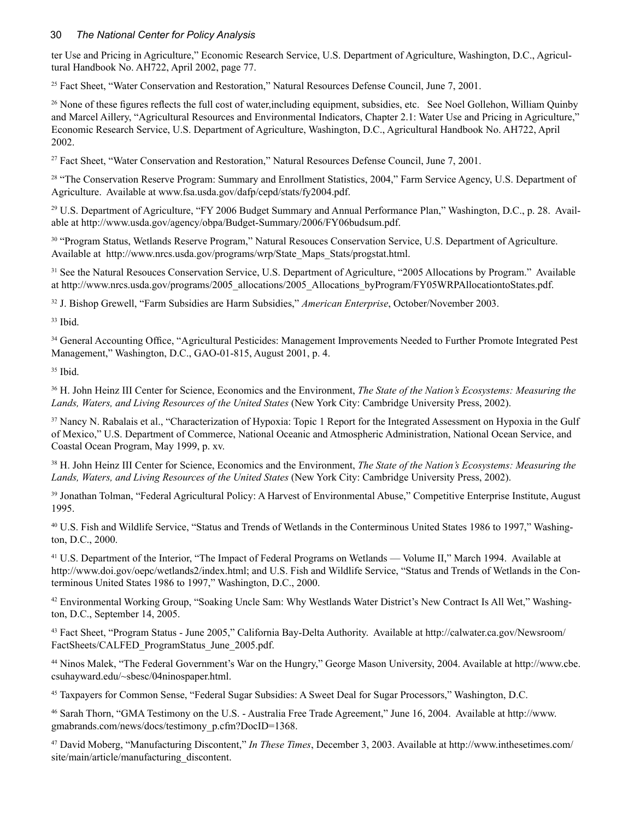#### 30 *The National Center for Policy Analysis*

ter Use and Pricing in Agriculture," Economic Research Service, U.S. Department of Agriculture, Washington, D.C., Agricultural Handbook No. AH722, April 2002, page 77.

<sup>25</sup> Fact Sheet, "Water Conservation and Restoration," Natural Resources Defense Council, June 7, 2001.

<sup>26</sup> None of these figures reflects the full cost of water, including equipment, subsidies, etc. See Noel Gollehon, William Quinby and Marcel Aillery, "Agricultural Resources and Environmental Indicators, Chapter 2.1: Water Use and Pricing in Agriculture," Economic Research Service, U.S. Department of Agriculture, Washington, D.C., Agricultural Handbook No. AH722, April 2002.

27 Fact Sheet, "Water Conservation and Restoration," Natural Resources Defense Council, June 7, 2001.

<sup>28</sup> "The Conservation Reserve Program: Summary and Enrollment Statistics, 2004," Farm Service Agency, U.S. Department of Agriculture. Available at www.fsa.usda.gov/dafp/cepd/stats/fy2004.pdf.

29 U.S. Department of Agriculture, "FY 2006 Budget Summary and Annual Performance Plan," Washington, D.C., p. 28. Available at http://www.usda.gov/agency/obpa/Budget-Summary/2006/FY06budsum.pdf.

30 "Program Status, Wetlands Reserve Program," Natural Resouces Conservation Service, U.S. Department of Agriculture. Available at http://www.nrcs.usda.gov/programs/wrp/State\_Maps\_Stats/progstat.html.

<sup>31</sup> See the Natural Resouces Conservation Service, U.S. Department of Agriculture, "2005 Allocations by Program." Available at http://www.nrcs.usda.gov/programs/2005\_allocations/2005\_Allocations\_byProgram/FY05WRPAllocationtoStates.pdf.

32 J. Bishop Grewell, "Farm Subsidies are Harm Subsidies," *American Enterprise*, October/November 2003.

 $33$  Ibid.

<sup>34</sup> General Accounting Office, "Agricultural Pesticides: Management Improvements Needed to Further Promote Integrated Pest Management," Washington, D.C., GAO-01-815, August 2001, p. 4.

35 Ibid.

36 H. John Heinz III Center for Science, Economics and the Environment, *The State of the Nation's Ecosystems: Measuring the Lands, Waters, and Living Resources of the United States* (New York City: Cambridge University Press, 2002).

<sup>37</sup> Nancy N. Rabalais et al., "Characterization of Hypoxia: Topic 1 Report for the Integrated Assessment on Hypoxia in the Gulf of Mexico," U.S. Department of Commerce, National Oceanic and Atmospheric Administration, National Ocean Service, and Coastal Ocean Program, May 1999, p. xv.

38 H. John Heinz III Center for Science, Economics and the Environment, *The State of the Nation's Ecosystems: Measuring the Lands, Waters, and Living Resources of the United States* (New York City: Cambridge University Press, 2002).

<sup>39</sup> Jonathan Tolman, "Federal Agricultural Policy: A Harvest of Environmental Abuse," Competitive Enterprise Institute, August 1995.

40 U.S. Fish and Wildlife Service, "Status and Trends of Wetlands in the Conterminous United States 1986 to 1997," Washington, D.C., 2000.

<sup>41</sup> U.S. Department of the Interior, "The Impact of Federal Programs on Wetlands — Volume II," March 1994. Available at http://www.doi.gov/oepc/wetlands2/index.html; and U.S. Fish and Wildlife Service, "Status and Trends of Wetlands in the Conterminous United States 1986 to 1997," Washington, D.C., 2000.

42 Environmental Working Group, "Soaking Uncle Sam: Why Westlands Water District's New Contract Is All Wet," Washington, D.C., September 14, 2005.

43 Fact Sheet, "Program Status - June 2005," California Bay-Delta Authority. Available at http://calwater.ca.gov/Newsroom/ FactSheets/CALFED\_ProgramStatus\_June\_2005.pdf.

44 Ninos Malek, "The Federal Government's War on the Hungry," George Mason University, 2004. Available at http://www.cbe. csuhayward.edu/~sbesc/04ninospaper.html.

45 Taxpayers for Common Sense, "Federal Sugar Subsidies: A Sweet Deal for Sugar Processors," Washington, D.C.

46 Sarah Thorn, "GMA Testimony on the U.S. - Australia Free Trade Agreement," June 16, 2004. Available at http://www. gmabrands.com/news/docs/testimony\_p.cfm?DocID=1368.

47 David Moberg, "Manufacturing Discontent," *In These Times*, December 3, 2003. Available at http://www.inthesetimes.com/ site/main/article/manufacturing\_discontent.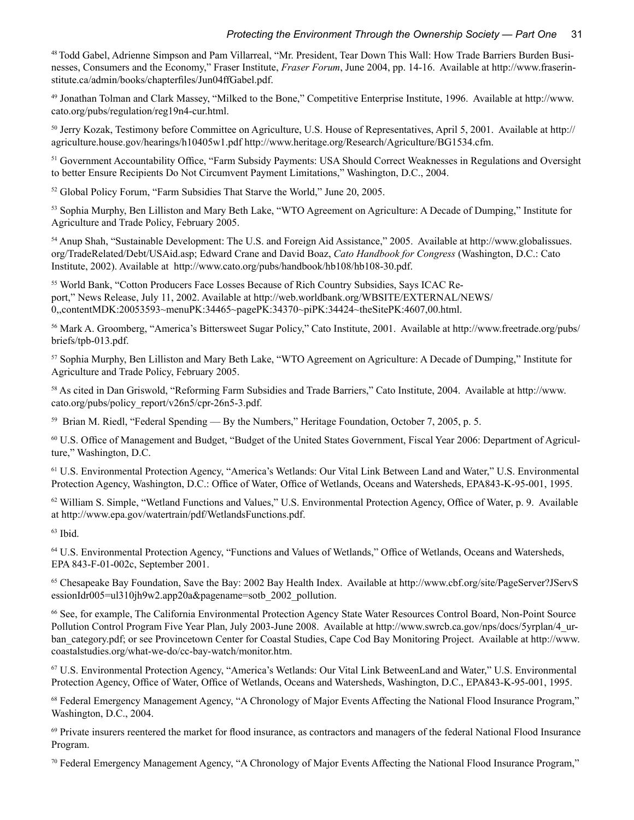48 Todd Gabel, Adrienne Simpson and Pam Villarreal, "Mr. President, Tear Down This Wall: How Trade Barriers Burden Businesses, Consumers and the Economy," Fraser Institute, *Fraser Forum*, June 2004, pp. 14-16. Available at http://www.fraserinstitute.ca/admin/books/chapterfiles/Jun04ffGabel.pdf.

49 Jonathan Tolman and Clark Massey, "Milked to the Bone," Competitive Enterprise Institute, 1996. Available at http://www. cato.org/pubs/regulation/reg19n4-cur.html.

50 Jerry Kozak, Testimony before Committee on Agriculture, U.S. House of Representatives, April 5, 2001. Available at http:// agriculture.house.gov/hearings/h10405w1.pdf http://www.heritage.org/Research/Agriculture/BG1534.cfm.

51 Government Accountability Office, "Farm Subsidy Payments: USA Should Correct Weaknesses in Regulations and Oversight to better Ensure Recipients Do Not Circumvent Payment Limitations," Washington, D.C., 2004.

52 Global Policy Forum, "Farm Subsidies That Starve the World," June 20, 2005.

53 Sophia Murphy, Ben Lilliston and Mary Beth Lake, "WTO Agreement on Agriculture: A Decade of Dumping," Institute for Agriculture and Trade Policy, February 2005.

54 Anup Shah, "Sustainable Development: The U.S. and Foreign Aid Assistance," 2005. Available at http://www.globalissues. org/TradeRelated/Debt/USAid.asp; Edward Crane and David Boaz, *Cato Handbook for Congress* (Washington, D.C.: Cato Institute, 2002). Available at http://www.cato.org/pubs/handbook/hb108/hb108-30.pdf.

55 World Bank, "Cotton Producers Face Losses Because of Rich Country Subsidies, Says ICAC Report," News Release, July 11, 2002. Available at http://web.worldbank.org/WBSITE/EXTERNAL/NEWS/ 0,,contentMDK:20053593~menuPK:34465~pagePK:34370~piPK:34424~theSitePK:4607,00.html.

56 Mark A. Groomberg, "America's Bittersweet Sugar Policy," Cato Institute, 2001. Available at http://www.freetrade.org/pubs/ briefs/tpb-013.pdf.

57 Sophia Murphy, Ben Lilliston and Mary Beth Lake, "WTO Agreement on Agriculture: A Decade of Dumping," Institute for Agriculture and Trade Policy, February 2005.

58 As cited in Dan Griswold, "Reforming Farm Subsidies and Trade Barriers," Cato Institute, 2004. Available at http://www. cato.org/pubs/policy\_report/v26n5/cpr-26n5-3.pdf.

59 Brian M. Riedl, "Federal Spending — By the Numbers," Heritage Foundation, October 7, 2005, p. 5.

60 U.S. Office of Management and Budget, "Budget of the United States Government, Fiscal Year 2006: Department of Agriculture," Washington, D.C.

61 U.S. Environmental Protection Agency, "America's Wetlands: Our Vital Link Between Land and Water," U.S. Environmental Protection Agency, Washington, D.C.: Office of Water, Office of Wetlands, Oceans and Watersheds, EPA843-K-95-001, 1995.

 $62$  William S. Simple, "Wetland Functions and Values," U.S. Environmental Protection Agency, Office of Water, p. 9. Available at http://www.epa.gov/watertrain/pdf/WetlandsFunctions.pdf.

 $63$  Ibid.

64 U.S. Environmental Protection Agency, "Functions and Values of Wetlands," Office of Wetlands, Oceans and Watersheds, EPA 843-F-01-002c, September 2001.

65 Chesapeake Bay Foundation, Save the Bay: 2002 Bay Health Index. Available at http://www.cbf.org/site/PageServer?JServS essionIdr005=ul310jh9w2.app20a&pagename=sotb\_2002\_pollution.

66 See, for example, The California Environmental Protection Agency State Water Resources Control Board, Non-Point Source Pollution Control Program Five Year Plan, July 2003-June 2008. Available at http://www.swrcb.ca.gov/nps/docs/5yrplan/4\_urban\_category.pdf; or see Provincetown Center for Coastal Studies, Cape Cod Bay Monitoring Project. Available at http://www. coastalstudies.org/what-we-do/cc-bay-watch/monitor.htm.

67 U.S. Environmental Protection Agency, "America's Wetlands: Our Vital Link BetweenLand and Water," U.S. Environmental Protection Agency, Office of Water, Office of Wetlands, Oceans and Watersheds, Washington, D.C., EPA843-K-95-001, 1995.

<sup>68</sup> Federal Emergency Management Agency, "A Chronology of Major Events Affecting the National Flood Insurance Program," Washington, D.C., 2004.

69 Private insurers reentered the market for flood insurance, as contractors and managers of the federal National Flood Insurance Program.

70 Federal Emergency Management Agency, "A Chronology of Major Events Affecting the National Flood Insurance Program,"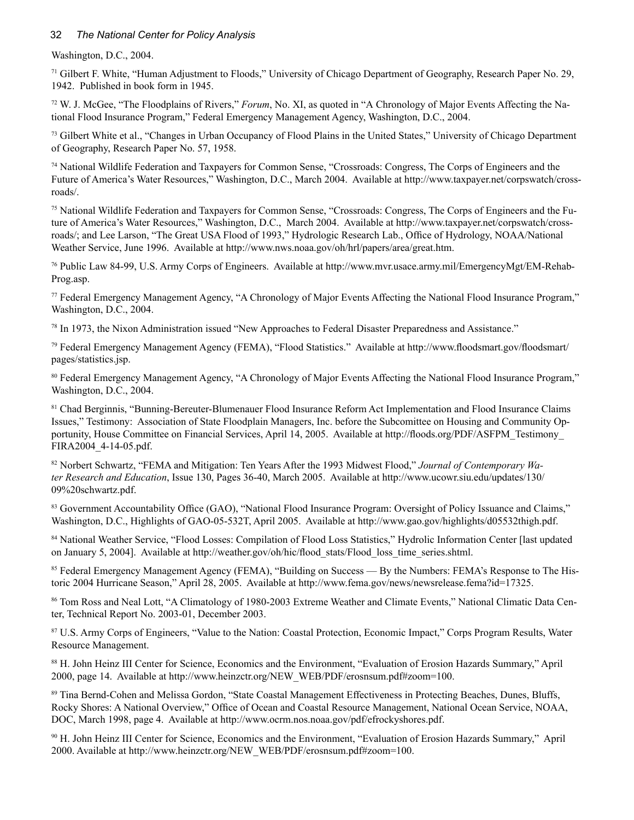#### 32 *The National Center for Policy Analysis*

Washington, D.C., 2004.

71 Gilbert F. White, "Human Adjustment to Floods," University of Chicago Department of Geography, Research Paper No. 29, 1942. Published in book form in 1945.

72 W. J. McGee, "The Floodplains of Rivers," *Forum*, No. XI, as quoted in "A Chronology of Major Events Affecting the National Flood Insurance Program," Federal Emergency Management Agency, Washington, D.C., 2004.

<sup>73</sup> Gilbert White et al., "Changes in Urban Occupancy of Flood Plains in the United States," University of Chicago Department of Geography, Research Paper No. 57, 1958.

74 National Wildlife Federation and Taxpayers for Common Sense, "Crossroads: Congress, The Corps of Engineers and the Future of America's Water Resources," Washington, D.C., March 2004. Available at http://www.taxpayer.net/corpswatch/crossroads/.

75 National Wildlife Federation and Taxpayers for Common Sense, "Crossroads: Congress, The Corps of Engineers and the Future of America's Water Resources," Washington, D.C., March 2004. Available at http://www.taxpayer.net/corpswatch/crossroads/; and Lee Larson, "The Great USA Flood of 1993," Hydrologic Research Lab., Office of Hydrology, NOAA/National Weather Service, June 1996. Available at http://www.nws.noaa.gov/oh/hrl/papers/area/great.htm.

76 Public Law 84-99, U.S. Army Corps of Engineers. Available at http://www.mvr.usace.army.mil/EmergencyMgt/EM-Rehab-Prog.asp.

77 Federal Emergency Management Agency, "A Chronology of Major Events Affecting the National Flood Insurance Program," Washington, D.C., 2004.

78 In 1973, the Nixon Administration issued "New Approaches to Federal Disaster Preparedness and Assistance."

79 Federal Emergency Management Agency (FEMA), "Flood Statistics." Available at http://www.floodsmart.gov/floodsmart/ pages/statistics.jsp.

80 Federal Emergency Management Agency, "A Chronology of Major Events Affecting the National Flood Insurance Program," Washington, D.C., 2004.

81 Chad Berginnis, "Bunning-Bereuter-Blumenauer Flood Insurance Reform Act Implementation and Flood Insurance Claims Issues," Testimony: Association of State Floodplain Managers, Inc. before the Subcomittee on Housing and Community Opportunity, House Committee on Financial Services, April 14, 2005. Available at http://floods.org/PDF/ASFPM\_Testimony\_ FIRA2004\_4-14-05.pdf.

82 Norbert Schwartz, "FEMA and Mitigation: Ten Years After the 1993 Midwest Flood," *Journal of Contemporary Water Research and Education*, Issue 130, Pages 36-40, March 2005. Available at http://www.ucowr.siu.edu/updates/130/ 09%20schwartz.pdf.

83 Government Accountability Office (GAO), "National Flood Insurance Program: Oversight of Policy Issuance and Claims," Washington, D.C., Highlights of GAO-05-532T, April 2005. Available at http://www.gao.gov/highlights/d05532thigh.pdf.

84 National Weather Service, "Flood Losses: Compilation of Flood Loss Statistics," Hydrolic Information Center [last updated on January 5, 2004]. Available at http://weather.gov/oh/hic/flood\_stats/Flood\_loss\_time\_series.shtml.

85 Federal Emergency Management Agency (FEMA), "Building on Success — By the Numbers: FEMA's Response to The Historic 2004 Hurricane Season," April 28, 2005. Available at http://www.fema.gov/news/newsrelease.fema?id=17325.

86 Tom Ross and Neal Lott, "A Climatology of 1980-2003 Extreme Weather and Climate Events," National Climatic Data Center, Technical Report No. 2003-01, December 2003.

<sup>87</sup> U.S. Army Corps of Engineers, "Value to the Nation: Coastal Protection, Economic Impact," Corps Program Results, Water Resource Management.

88 H. John Heinz III Center for Science, Economics and the Environment, "Evaluation of Erosion Hazards Summary," April 2000, page 14. Available at http://www.heinzctr.org/NEW\_WEB/PDF/erosnsum.pdf#zoom=100.

89 Tina Bernd-Cohen and Melissa Gordon, "State Coastal Management Effectiveness in Protecting Beaches, Dunes, Bluffs, Rocky Shores: A National Overview," Office of Ocean and Coastal Resource Management, National Ocean Service, NOAA, DOC, March 1998, page 4. Available at http://www.ocrm.nos.noaa.gov/pdf/efrockyshores.pdf.

90 H. John Heinz III Center for Science, Economics and the Environment, "Evaluation of Erosion Hazards Summary," April 2000. Available at http://www.heinzctr.org/NEW\_WEB/PDF/erosnsum.pdf#zoom=100.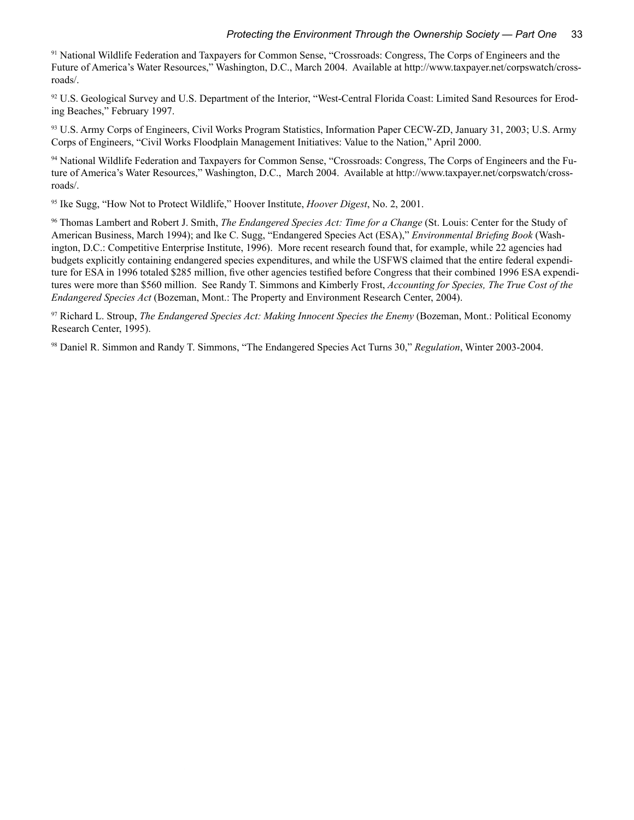91 National Wildlife Federation and Taxpayers for Common Sense, "Crossroads: Congress, The Corps of Engineers and the Future of America's Water Resources," Washington, D.C., March 2004. Available at http://www.taxpayer.net/corpswatch/crossroads/.

92 U.S. Geological Survey and U.S. Department of the Interior, "West-Central Florida Coast: Limited Sand Resources for Eroding Beaches," February 1997.

93 U.S. Army Corps of Engineers, Civil Works Program Statistics, Information Paper CECW-ZD, January 31, 2003; U.S. Army Corps of Engineers, "Civil Works Floodplain Management Initiatives: Value to the Nation," April 2000.

94 National Wildlife Federation and Taxpayers for Common Sense, "Crossroads: Congress, The Corps of Engineers and the Future of America's Water Resources," Washington, D.C., March 2004. Available at http://www.taxpayer.net/corpswatch/crossroads/.

95 Ike Sugg, "How Not to Protect Wildlife," Hoover Institute, *Hoover Digest*, No. 2, 2001.

96 Thomas Lambert and Robert J. Smith, *The Endangered Species Act: Time for a Change* (St. Louis: Center for the Study of American Business, March 1994); and Ike C. Sugg, "Endangered Species Act (ESA)," *Environmental Briefing Book* (Washington, D.C.: Competitive Enterprise Institute, 1996). More recent research found that, for example, while 22 agencies had budgets explicitly containing endangered species expenditures, and while the USFWS claimed that the entire federal expenditure for ESA in 1996 totaled \$285 million, five other agencies testified before Congress that their combined 1996 ESA expenditures were more than \$560 million. See Randy T. Simmons and Kimberly Frost, *Accounting for Species, The True Cost of the Endangered Species Act* (Bozeman, Mont.: The Property and Environment Research Center, 2004).

97 Richard L. Stroup, *The Endangered Species Act: Making Innocent Species the Enemy* (Bozeman, Mont.: Political Economy Research Center, 1995).

98 Daniel R. Simmon and Randy T. Simmons, "The Endangered Species Act Turns 30," *Regulation*, Winter 2003-2004.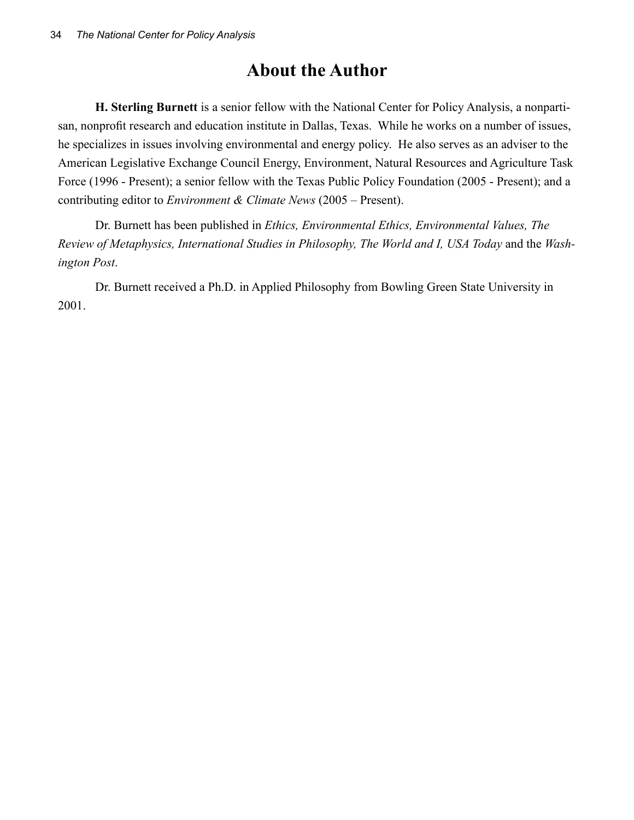## **About the Author**

**H. Sterling Burnett** is a senior fellow with the National Center for Policy Analysis, a nonpartisan, nonprofit research and education institute in Dallas, Texas. While he works on a number of issues, he specializes in issues involving environmental and energy policy. He also serves as an adviser to the American Legislative Exchange Council Energy, Environment, Natural Resources and Agriculture Task Force (1996 - Present); a senior fellow with the Texas Public Policy Foundation (2005 - Present); and a contributing editor to *Environment & Climate News* (2005 – Present).

Dr. Burnett has been published in *Ethics, Environmental Ethics, Environmental Values, The Review of Metaphysics, International Studies in Philosophy, The World and I, USA Today* and the *Washington Post*.

Dr. Burnett received a Ph.D. in Applied Philosophy from Bowling Green State University in 2001.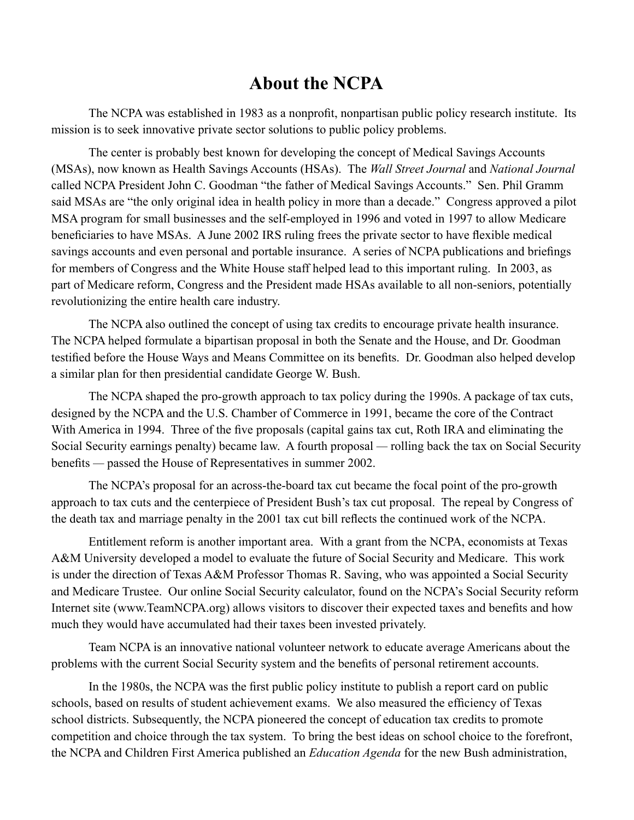### **About the NCPA**

The NCPA was established in 1983 as a nonprofit, nonpartisan public policy research institute. Its mission is to seek innovative private sector solutions to public policy problems.

The center is probably best known for developing the concept of Medical Savings Accounts (MSAs), now known as Health Savings Accounts (HSAs). The *Wall Street Journal* and *National Journal*  called NCPA President John C. Goodman "the father of Medical Savings Accounts." Sen. Phil Gramm said MSAs are "the only original idea in health policy in more than a decade." Congress approved a pilot MSA program for small businesses and the self-employed in 1996 and voted in 1997 to allow Medicare beneficiaries to have MSAs. A June 2002 IRS ruling frees the private sector to have flexible medical savings accounts and even personal and portable insurance. A series of NCPA publications and briefings for members of Congress and the White House staff helped lead to this important ruling. In 2003, as part of Medicare reform, Congress and the President made HSAs available to all non-seniors, potentially revolutionizing the entire health care industry.

The NCPA also outlined the concept of using tax credits to encourage private health insurance. The NCPA helped formulate a bipartisan proposal in both the Senate and the House, and Dr. Goodman testified before the House Ways and Means Committee on its benefits. Dr. Goodman also helped develop a similar plan for then presidential candidate George W. Bush.

The NCPA shaped the pro-growth approach to tax policy during the 1990s. A package of tax cuts, designed by the NCPA and the U.S. Chamber of Commerce in 1991, became the core of the Contract With America in 1994. Three of the five proposals (capital gains tax cut, Roth IRA and eliminating the Social Security earnings penalty) became law. A fourth proposal *—* rolling back the tax on Social Security benefits *—* passed the House of Representatives in summer 2002.

The NCPA's proposal for an across-the-board tax cut became the focal point of the pro-growth approach to tax cuts and the centerpiece of President Bush's tax cut proposal. The repeal by Congress of the death tax and marriage penalty in the 2001 tax cut bill reflects the continued work of the NCPA.

Entitlement reform is another important area. With a grant from the NCPA, economists at Texas A&M University developed a model to evaluate the future of Social Security and Medicare. This work is under the direction of Texas A&M Professor Thomas R. Saving, who was appointed a Social Security and Medicare Trustee. Our online Social Security calculator, found on the NCPA's Social Security reform Internet site (www.TeamNCPA.org) allows visitors to discover their expected taxes and benefits and how much they would have accumulated had their taxes been invested privately.

Team NCPA is an innovative national volunteer network to educate average Americans about the problems with the current Social Security system and the benefits of personal retirement accounts.

In the 1980s, the NCPA was the first public policy institute to publish a report card on public schools, based on results of student achievement exams. We also measured the efficiency of Texas school districts. Subsequently, the NCPA pioneered the concept of education tax credits to promote competition and choice through the tax system. To bring the best ideas on school choice to the forefront, the NCPA and Children First America published an *Education Agenda* for the new Bush administration,